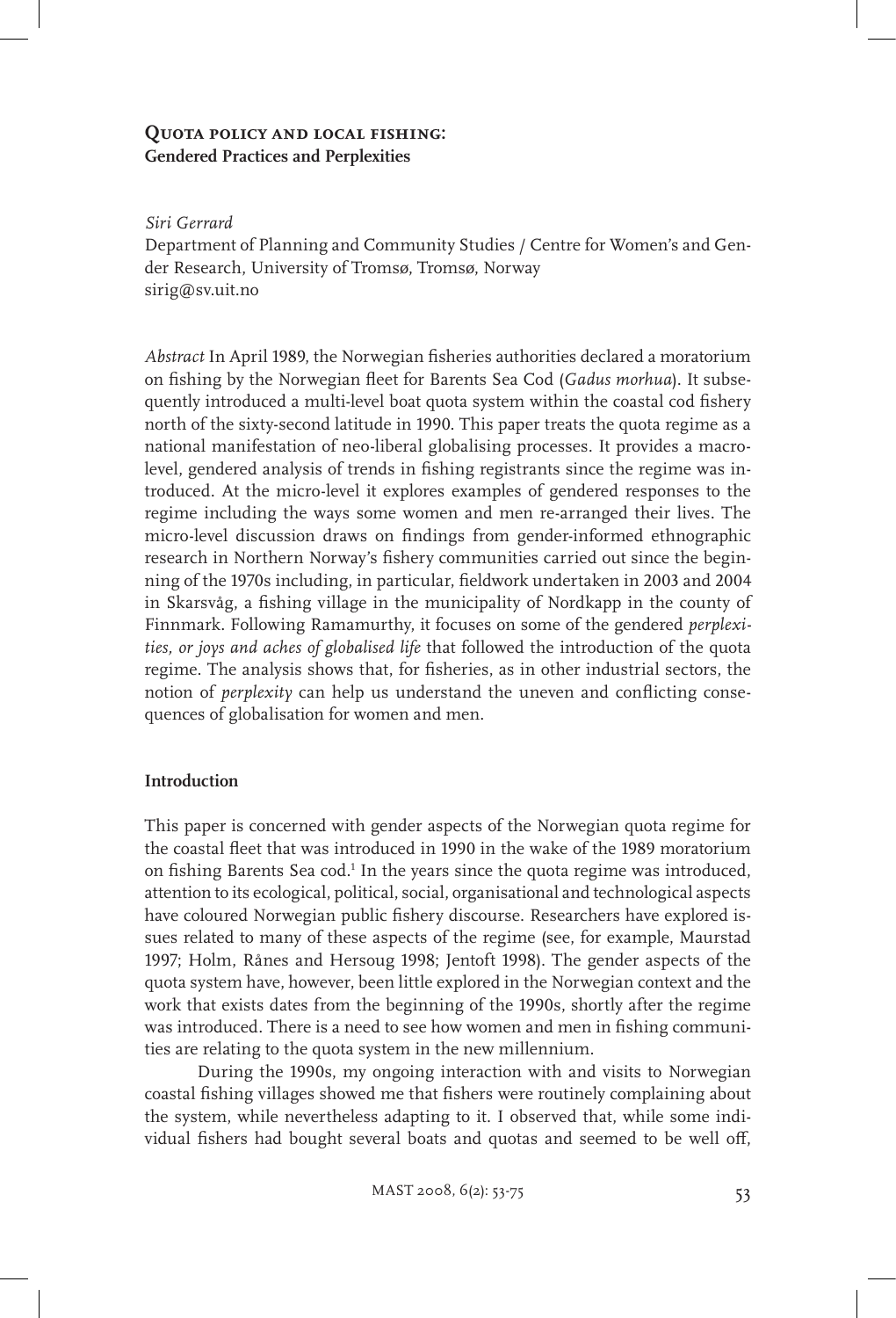# **Quota policy and local fishing: Gendered Practices and Perplexities**

#### *Siri Gerrard*

Department of Planning and Community Studies / Centre for Women's and Gender Research, University of Tromsø, Tromsø, Norway sirig@sv.uit.no

*Abstract* In April 1989, the Norwegian fisheries authorities declared a moratorium on fishing by the Norwegian fleet for Barents Sea Cod (*Gadus morhua*). It subsequently introduced a multi-level boat quota system within the coastal cod fishery north of the sixty-second latitude in 1990. This paper treats the quota regime as a national manifestation of neo-liberal globalising processes. It provides a macrolevel, gendered analysis of trends in fishing registrants since the regime was introduced. At the micro-level it explores examples of gendered responses to the regime including the ways some women and men re-arranged their lives. The micro-level discussion draws on findings from gender-informed ethnographic research in Northern Norway's fishery communities carried out since the beginning of the 1970s including, in particular, fieldwork undertaken in 2003 and 2004 in Skarsvåg, a fishing village in the municipality of Nordkapp in the county of Finnmark. Following Ramamurthy, it focuses on some of the gendered *perplexities, or joys and aches of globalised life* that followed the introduction of the quota regime. The analysis shows that, for fisheries, as in other industrial sectors, the notion of *perplexity* can help us understand the uneven and conflicting consequences of globalisation for women and men.

### **Introduction**

This paper is concerned with gender aspects of the Norwegian quota regime for the coastal fleet that was introduced in 1990 in the wake of the 1989 moratorium on fishing Barents Sea cod.<sup>1</sup> In the years since the quota regime was introduced, attention to its ecological, political, social, organisational and technological aspects have coloured Norwegian public fishery discourse. Researchers have explored issues related to many of these aspects of the regime (see, for example, Maurstad 1997; Holm, Rånes and Hersoug 1998; Jentoft 1998). The gender aspects of the quota system have, however, been little explored in the Norwegian context and the work that exists dates from the beginning of the 1990s, shortly after the regime was introduced. There is a need to see how women and men in fishing communities are relating to the quota system in the new millennium.

During the 1990s, my ongoing interaction with and visits to Norwegian coastal fishing villages showed me that fishers were routinely complaining about the system, while nevertheless adapting to it. I observed that, while some individual fishers had bought several boats and quotas and seemed to be well off,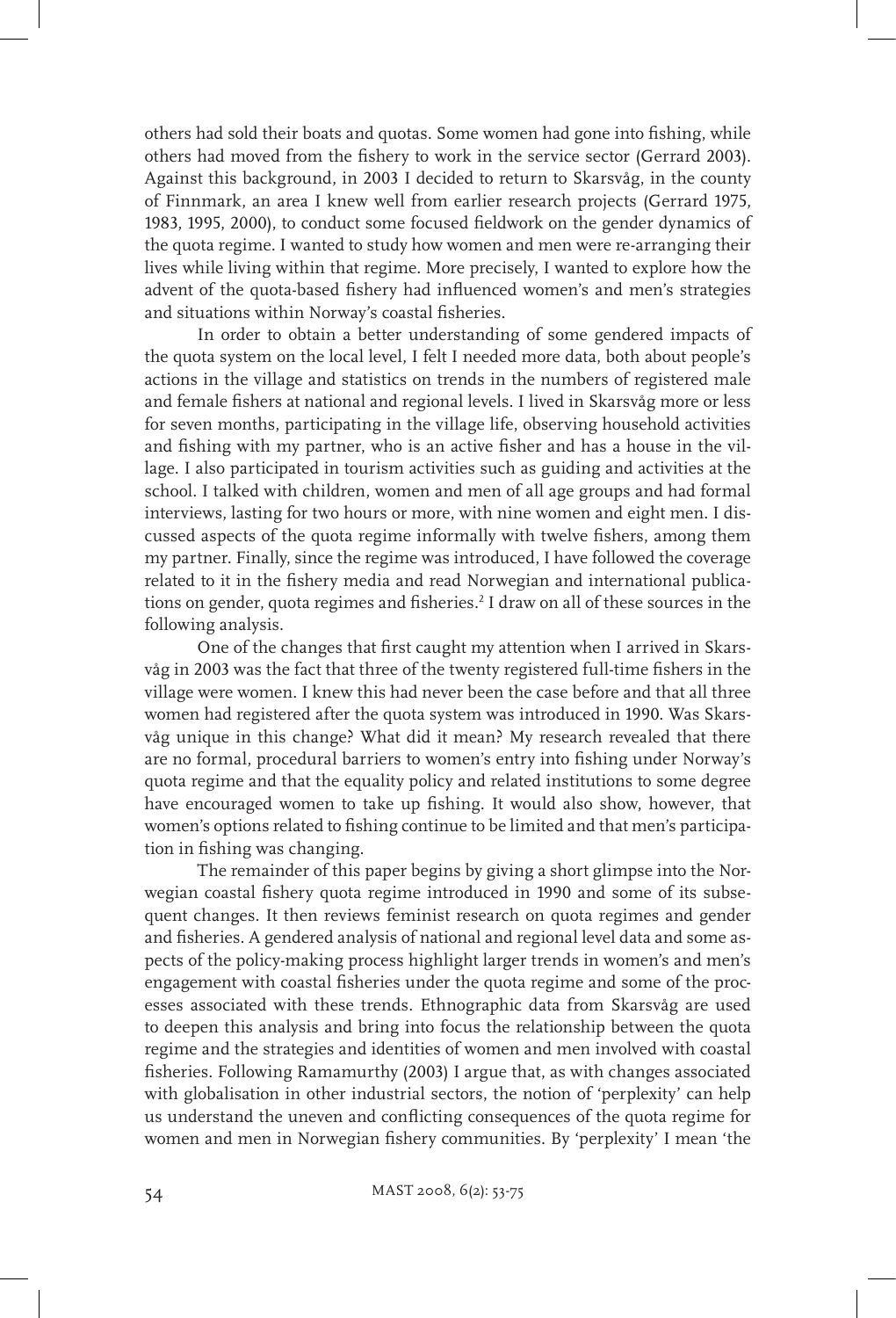others had sold their boats and quotas. Some women had gone into fishing, while others had moved from the fishery to work in the service sector (Gerrard 2003). Against this background, in 2003 I decided to return to Skarsvåg, in the county of Finnmark, an area I knew well from earlier research projects (Gerrard 1975, 1983, 1995, 2000), to conduct some focused fieldwork on the gender dynamics of the quota regime. I wanted to study how women and men were re-arranging their lives while living within that regime. More precisely, I wanted to explore how the advent of the quota-based fishery had influenced women's and men's strategies and situations within Norway's coastal fisheries.

In order to obtain a better understanding of some gendered impacts of the quota system on the local level, I felt I needed more data, both about people's actions in the village and statistics on trends in the numbers of registered male and female fishers at national and regional levels. I lived in Skarsvåg more or less for seven months, participating in the village life, observing household activities and fishing with my partner, who is an active fisher and has a house in the village. I also participated in tourism activities such as guiding and activities at the school. I talked with children, women and men of all age groups and had formal interviews, lasting for two hours or more, with nine women and eight men. I discussed aspects of the quota regime informally with twelve fishers, among them my partner. Finally, since the regime was introduced, I have followed the coverage related to it in the fishery media and read Norwegian and international publications on gender, quota regimes and fisheries.2 I draw on all of these sources in the following analysis.

One of the changes that first caught my attention when I arrived in Skarsvåg in 2003 was the fact that three of the twenty registered full-time fishers in the village were women. I knew this had never been the case before and that all three women had registered after the quota system was introduced in 1990. Was Skarsvåg unique in this change? What did it mean? My research revealed that there are no formal, procedural barriers to women's entry into fishing under Norway's quota regime and that the equality policy and related institutions to some degree have encouraged women to take up fishing. It would also show, however, that women's options related to fishing continue to be limited and that men's participation in fishing was changing.

The remainder of this paper begins by giving a short glimpse into the Norwegian coastal fishery quota regime introduced in 1990 and some of its subsequent changes. It then reviews feminist research on quota regimes and gender and fisheries. A gendered analysis of national and regional level data and some aspects of the policy-making process highlight larger trends in women's and men's engagement with coastal fisheries under the quota regime and some of the processes associated with these trends. Ethnographic data from Skarsvåg are used to deepen this analysis and bring into focus the relationship between the quota regime and the strategies and identities of women and men involved with coastal fisheries. Following Ramamurthy (2003) I argue that, as with changes associated with globalisation in other industrial sectors, the notion of 'perplexity' can help us understand the uneven and conflicting consequences of the quota regime for women and men in Norwegian fishery communities. By 'perplexity' I mean 'the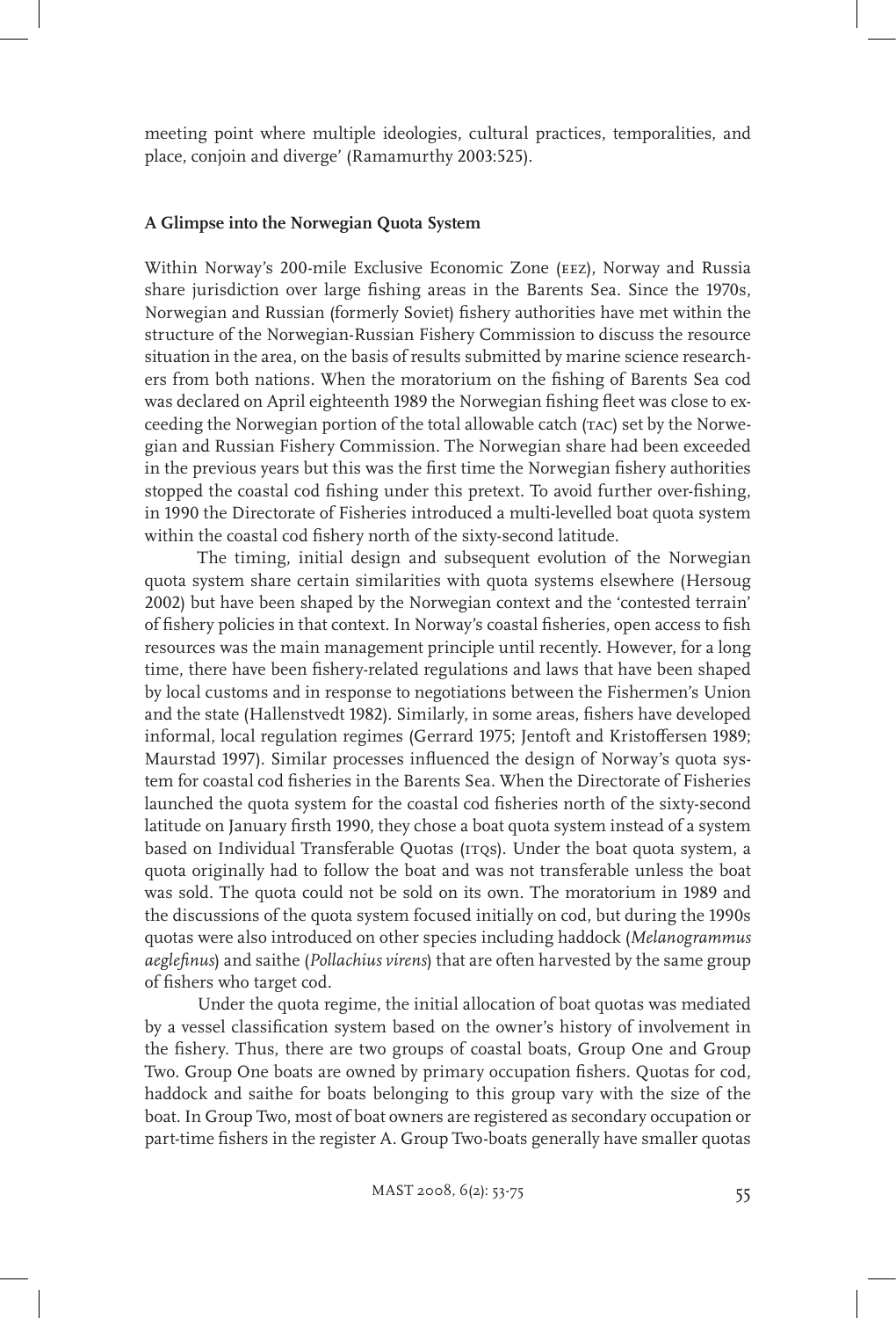meeting point where multiple ideologies, cultural practices, temporalities, and place, conjoin and diverge' (Ramamurthy 2003:525).

#### **A Glimpse into the Norwegian Quota System**

Within Norway's 200-mile Exclusive Economic Zone (eez), Norway and Russia share jurisdiction over large fishing areas in the Barents Sea. Since the 1970s, Norwegian and Russian (formerly Soviet) fishery authorities have met within the structure of the Norwegian-Russian Fishery Commission to discuss the resource situation in the area, on the basis of results submitted by marine science researchers from both nations. When the moratorium on the fishing of Barents Sea cod was declared on April eighteenth 1989 the Norwegian fishing fleet was close to exceeding the Norwegian portion of the total allowable catch (TAC) set by the Norwegian and Russian Fishery Commission. The Norwegian share had been exceeded in the previous years but this was the first time the Norwegian fishery authorities stopped the coastal cod fishing under this pretext. To avoid further over-fishing, in 1990 the Directorate of Fisheries introduced a multi-levelled boat quota system within the coastal cod fishery north of the sixty-second latitude.

The timing, initial design and subsequent evolution of the Norwegian quota system share certain similarities with quota systems elsewhere (Hersoug 2002) but have been shaped by the Norwegian context and the 'contested terrain' of fishery policies in that context. In Norway's coastal fisheries, open access to fish resources was the main management principle until recently. However, for a long time, there have been fishery-related regulations and laws that have been shaped by local customs and in response to negotiations between the Fishermen's Union and the state (Hallenstvedt 1982). Similarly, in some areas, fishers have developed informal, local regulation regimes (Gerrard 1975; Jentoft and Kristoffersen 1989; Maurstad 1997). Similar processes influenced the design of Norway's quota system for coastal cod fisheries in the Barents Sea. When the Directorate of Fisheries launched the quota system for the coastal cod fisheries north of the sixty-second latitude on January firsth 1990, they chose a boat quota system instead of a system based on Individual Transferable Quotas (ITQs). Under the boat quota system, a quota originally had to follow the boat and was not transferable unless the boat was sold. The quota could not be sold on its own. The moratorium in 1989 and the discussions of the quota system focused initially on cod, but during the 1990s quotas were also introduced on other species including haddock (*Melanogrammus aeglefinus*) and saithe (*Pollachius virens*) that are often harvested by the same group of fishers who target cod.

Under the quota regime, the initial allocation of boat quotas was mediated by a vessel classification system based on the owner's history of involvement in the fishery. Thus, there are two groups of coastal boats, Group One and Group Two. Group One boats are owned by primary occupation fishers. Quotas for cod, haddock and saithe for boats belonging to this group vary with the size of the boat. In Group Two, most of boat owners are registered as secondary occupation or part-time fishers in the register A. Group Two-boats generally have smaller quotas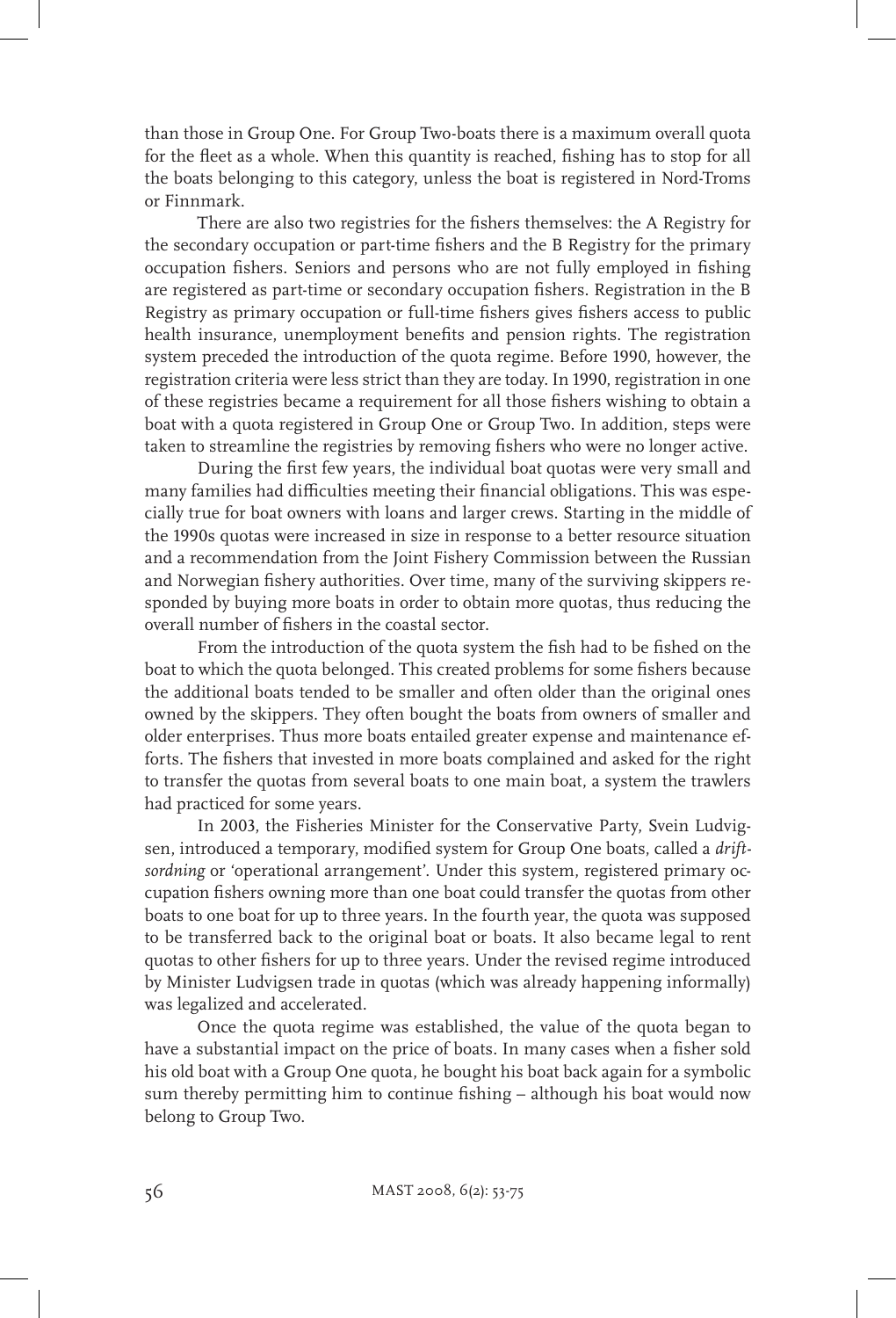than those in Group One. For Group Two-boats there is a maximum overall quota for the fleet as a whole. When this quantity is reached, fishing has to stop for all the boats belonging to this category, unless the boat is registered in Nord-Troms or Finnmark.

There are also two registries for the fishers themselves: the A Registry for the secondary occupation or part-time fishers and the B Registry for the primary occupation fishers. Seniors and persons who are not fully employed in fishing are registered as part-time or secondary occupation fishers. Registration in the B Registry as primary occupation or full-time fishers gives fishers access to public health insurance, unemployment benefits and pension rights. The registration system preceded the introduction of the quota regime. Before 1990, however, the registration criteria were less strict than they are today. In 1990, registration in one of these registries became a requirement for all those fishers wishing to obtain a boat with a quota registered in Group One or Group Two. In addition, steps were taken to streamline the registries by removing fishers who were no longer active.

During the first few years, the individual boat quotas were very small and many families had difficulties meeting their financial obligations. This was especially true for boat owners with loans and larger crews. Starting in the middle of the 1990s quotas were increased in size in response to a better resource situation and a recommendation from the Joint Fishery Commission between the Russian and Norwegian fishery authorities. Over time, many of the surviving skippers responded by buying more boats in order to obtain more quotas, thus reducing the overall number of fishers in the coastal sector.

From the introduction of the quota system the fish had to be fished on the boat to which the quota belonged. This created problems for some fishers because the additional boats tended to be smaller and often older than the original ones owned by the skippers. They often bought the boats from owners of smaller and older enterprises. Thus more boats entailed greater expense and maintenance efforts. The fishers that invested in more boats complained and asked for the right to transfer the quotas from several boats to one main boat, a system the trawlers had practiced for some years.

In 2003, the Fisheries Minister for the Conservative Party, Svein Ludvigsen, introduced a temporary, modified system for Group One boats, called a *driftsordning* or 'operational arrangement'. Under this system, registered primary occupation fishers owning more than one boat could transfer the quotas from other boats to one boat for up to three years. In the fourth year, the quota was supposed to be transferred back to the original boat or boats. It also became legal to rent quotas to other fishers for up to three years. Under the revised regime introduced by Minister Ludvigsen trade in quotas (which was already happening informally) was legalized and accelerated.

Once the quota regime was established, the value of the quota began to have a substantial impact on the price of boats. In many cases when a fisher sold his old boat with a Group One quota, he bought his boat back again for a symbolic sum thereby permitting him to continue fishing – although his boat would now belong to Group Two.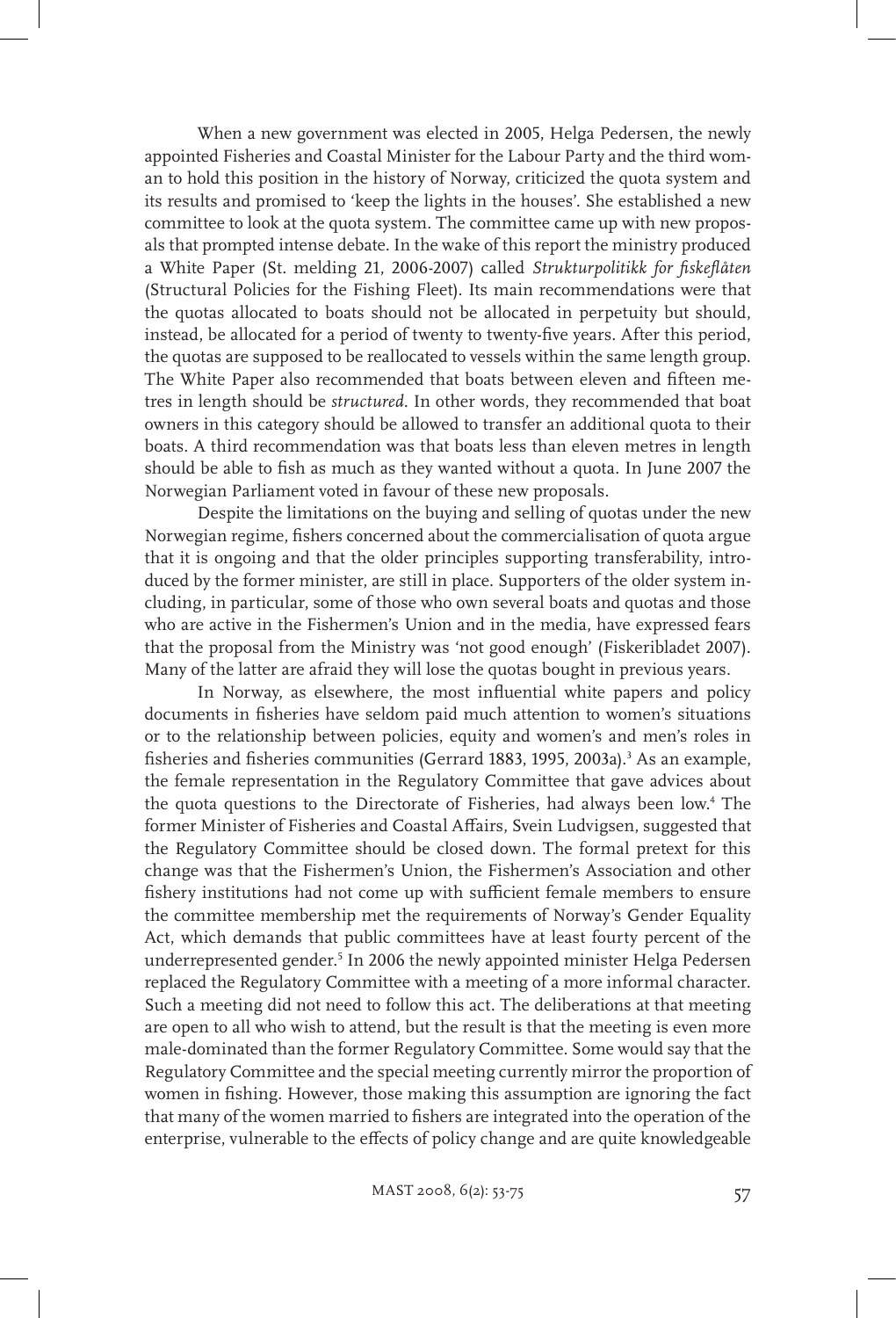When a new government was elected in 2005, Helga Pedersen, the newly appointed Fisheries and Coastal Minister for the Labour Party and the third woman to hold this position in the history of Norway, criticized the quota system and its results and promised to 'keep the lights in the houses'. She established a new committee to look at the quota system. The committee came up with new proposals that prompted intense debate. In the wake of this report the ministry produced a White Paper (St. melding 21, 2006-2007) called *Strukturpolitikk for fiskeflåten* (Structural Policies for the Fishing Fleet). Its main recommendations were that the quotas allocated to boats should not be allocated in perpetuity but should, instead, be allocated for a period of twenty to twenty-five years. After this period, the quotas are supposed to be reallocated to vessels within the same length group. The White Paper also recommended that boats between eleven and fifteen metres in length should be *structured*. In other words, they recommended that boat owners in this category should be allowed to transfer an additional quota to their boats. A third recommendation was that boats less than eleven metres in length should be able to fish as much as they wanted without a quota. In June 2007 the Norwegian Parliament voted in favour of these new proposals.

Despite the limitations on the buying and selling of quotas under the new Norwegian regime, fishers concerned about the commercialisation of quota argue that it is ongoing and that the older principles supporting transferability, introduced by the former minister, are still in place. Supporters of the older system including, in particular, some of those who own several boats and quotas and those who are active in the Fishermen's Union and in the media, have expressed fears that the proposal from the Ministry was 'not good enough' (Fiskeribladet 2007). Many of the latter are afraid they will lose the quotas bought in previous years.

In Norway, as elsewhere, the most influential white papers and policy documents in fisheries have seldom paid much attention to women's situations or to the relationship between policies, equity and women's and men's roles in fisheries and fisheries communities (Gerrard 1883, 1995, 2003a).<sup>3</sup> As an example, the female representation in the Regulatory Committee that gave advices about the quota questions to the Directorate of Fisheries, had always been low.4 The former Minister of Fisheries and Coastal Affairs, Svein Ludvigsen, suggested that the Regulatory Committee should be closed down. The formal pretext for this change was that the Fishermen's Union, the Fishermen's Association and other fishery institutions had not come up with sufficient female members to ensure the committee membership met the requirements of Norway's Gender Equality Act, which demands that public committees have at least fourty percent of the underrepresented gender.<sup>5</sup> In 2006 the newly appointed minister Helga Pedersen replaced the Regulatory Committee with a meeting of a more informal character. Such a meeting did not need to follow this act. The deliberations at that meeting are open to all who wish to attend, but the result is that the meeting is even more male-dominated than the former Regulatory Committee. Some would say that the Regulatory Committee and the special meeting currently mirror the proportion of women in fishing. However, those making this assumption are ignoring the fact that many of the women married to fishers are integrated into the operation of the enterprise, vulnerable to the effects of policy change and are quite knowledgeable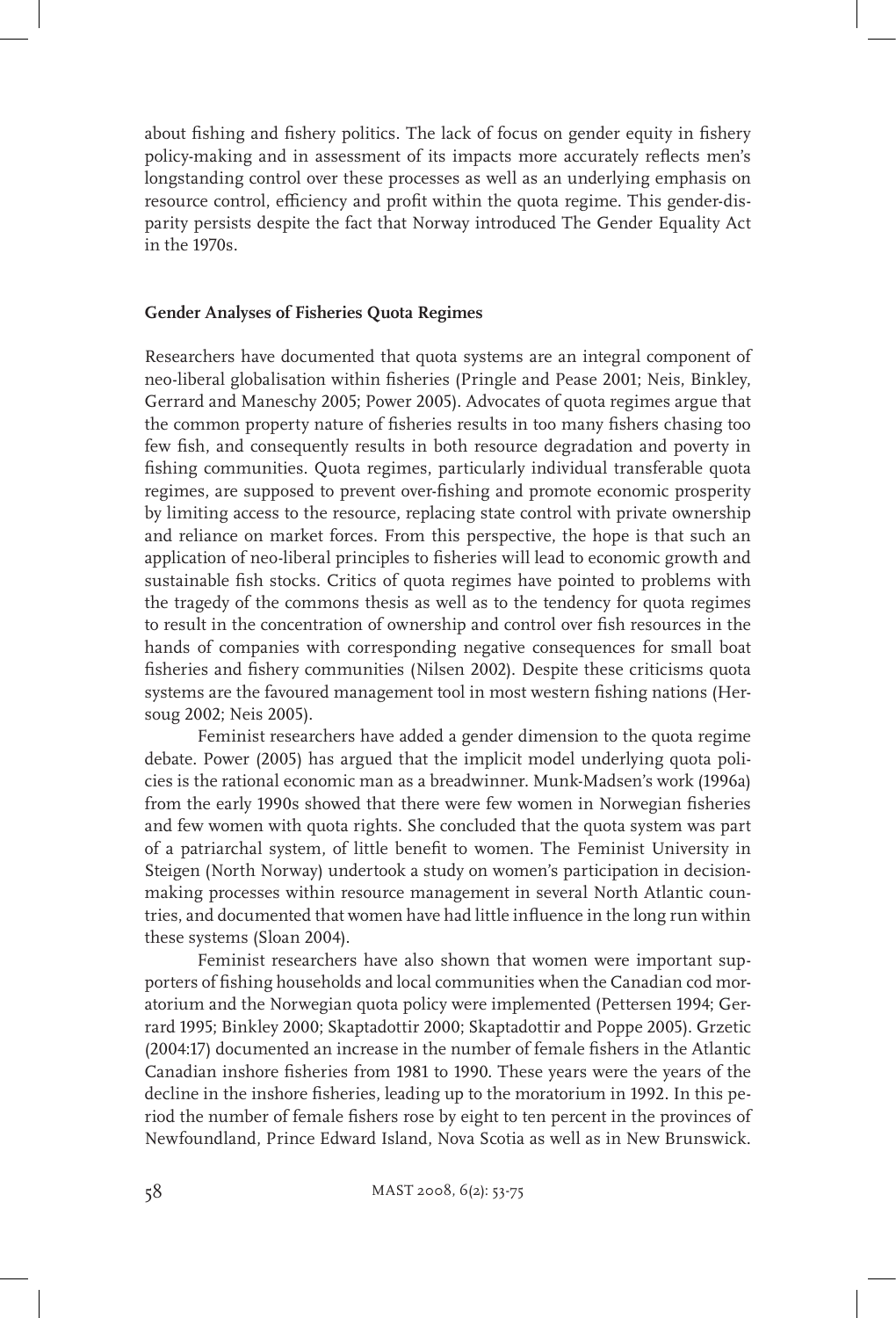about fishing and fishery politics. The lack of focus on gender equity in fishery policy-making and in assessment of its impacts more accurately reflects men's longstanding control over these processes as well as an underlying emphasis on resource control, efficiency and profit within the quota regime. This gender-disparity persists despite the fact that Norway introduced The Gender Equality Act in the 1970s.

# **Gender Analyses of Fisheries Quota Regimes**

Researchers have documented that quota systems are an integral component of neo-liberal globalisation within fisheries (Pringle and Pease 2001; Neis, Binkley, Gerrard and Maneschy 2005; Power 2005). Advocates of quota regimes argue that the common property nature of fisheries results in too many fishers chasing too few fish, and consequently results in both resource degradation and poverty in fishing communities. Quota regimes, particularly individual transferable quota regimes, are supposed to prevent over-fishing and promote economic prosperity by limiting access to the resource, replacing state control with private ownership and reliance on market forces. From this perspective, the hope is that such an application of neo-liberal principles to fisheries will lead to economic growth and sustainable fish stocks. Critics of quota regimes have pointed to problems with the tragedy of the commons thesis as well as to the tendency for quota regimes to result in the concentration of ownership and control over fish resources in the hands of companies with corresponding negative consequences for small boat fisheries and fishery communities (Nilsen 2002). Despite these criticisms quota systems are the favoured management tool in most western fishing nations (Hersoug 2002; Neis 2005).

Feminist researchers have added a gender dimension to the quota regime debate. Power (2005) has argued that the implicit model underlying quota policies is the rational economic man as a breadwinner. Munk-Madsen's work (1996a) from the early 1990s showed that there were few women in Norwegian fisheries and few women with quota rights. She concluded that the quota system was part of a patriarchal system, of little benefit to women. The Feminist University in Steigen (North Norway) undertook a study on women's participation in decisionmaking processes within resource management in several North Atlantic countries, and documented that women have had little influence in the long run within these systems (Sloan 2004).

Feminist researchers have also shown that women were important supporters of fishing households and local communities when the Canadian cod moratorium and the Norwegian quota policy were implemented (Pettersen 1994; Gerrard 1995; Binkley 2000; Skaptadottir 2000; Skaptadottir and Poppe 2005). Grzetic (2004:17) documented an increase in the number of female fishers in the Atlantic Canadian inshore fisheries from 1981 to 1990. These years were the years of the decline in the inshore fisheries, leading up to the moratorium in 1992. In this period the number of female fishers rose by eight to ten percent in the provinces of Newfoundland, Prince Edward Island, Nova Scotia as well as in New Brunswick.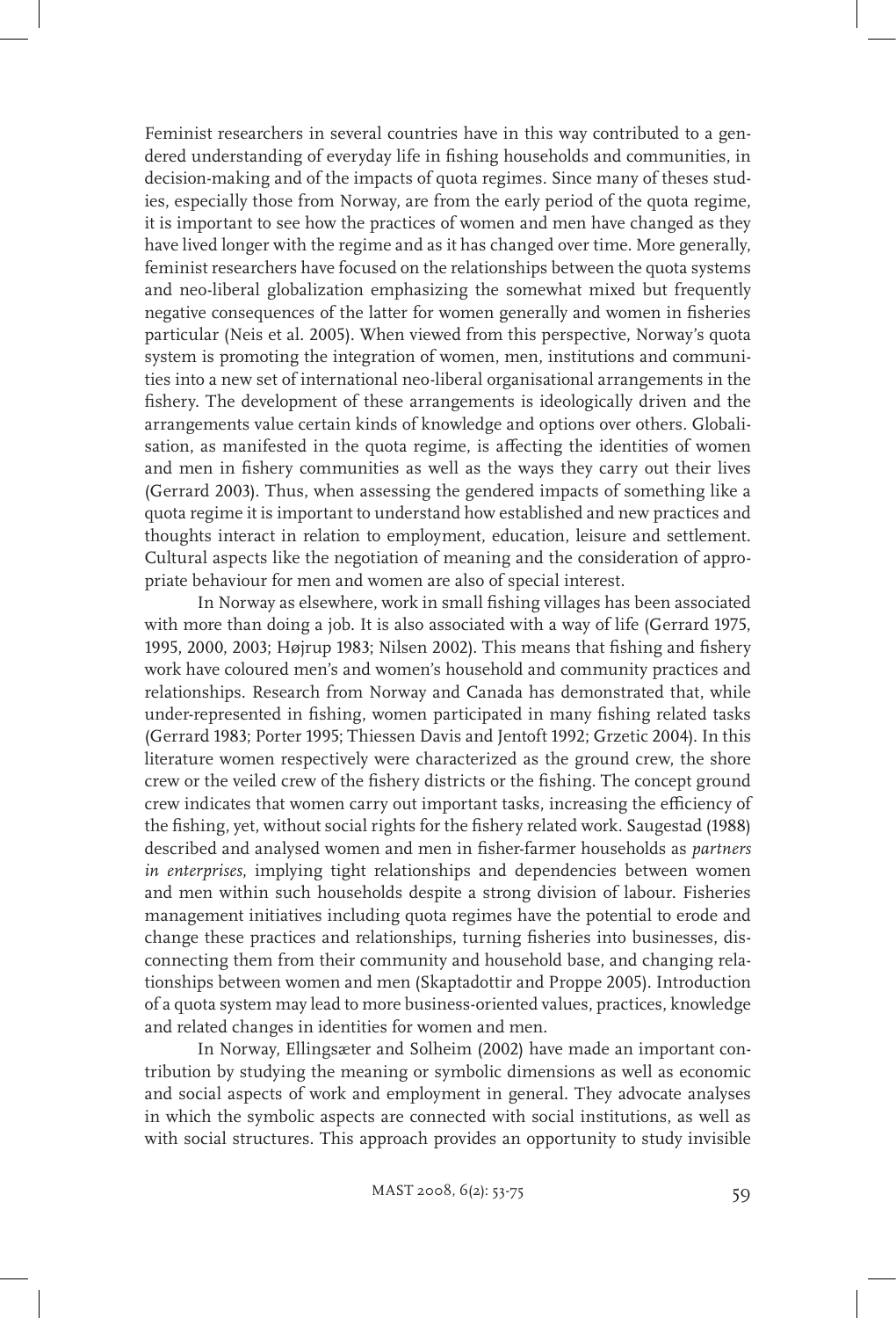Feminist researchers in several countries have in this way contributed to a gendered understanding of everyday life in fishing households and communities, in decision-making and of the impacts of quota regimes. Since many of theses studies, especially those from Norway, are from the early period of the quota regime, it is important to see how the practices of women and men have changed as they have lived longer with the regime and as it has changed over time. More generally, feminist researchers have focused on the relationships between the quota systems and neo-liberal globalization emphasizing the somewhat mixed but frequently negative consequences of the latter for women generally and women in fisheries particular (Neis et al. 2005). When viewed from this perspective, Norway's quota system is promoting the integration of women, men, institutions and communities into a new set of international neo-liberal organisational arrangements in the fishery. The development of these arrangements is ideologically driven and the arrangements value certain kinds of knowledge and options over others. Globalisation, as manifested in the quota regime, is affecting the identities of women and men in fishery communities as well as the ways they carry out their lives (Gerrard 2003). Thus, when assessing the gendered impacts of something like a quota regime it is important to understand how established and new practices and thoughts interact in relation to employment, education, leisure and settlement. Cultural aspects like the negotiation of meaning and the consideration of appropriate behaviour for men and women are also of special interest.

In Norway as elsewhere, work in small fishing villages has been associated with more than doing a job. It is also associated with a way of life (Gerrard 1975, 1995, 2000, 2003; Højrup 1983; Nilsen 2002). This means that fishing and fishery work have coloured men's and women's household and community practices and relationships. Research from Norway and Canada has demonstrated that, while under-represented in fishing, women participated in many fishing related tasks (Gerrard 1983; Porter 1995; Thiessen Davis and Jentoft 1992; Grzetic 2004). In this literature women respectively were characterized as the ground crew, the shore crew or the veiled crew of the fishery districts or the fishing. The concept ground crew indicates that women carry out important tasks, increasing the efficiency of the fishing, yet, without social rights for the fishery related work. Saugestad (1988) described and analysed women and men in fisher-farmer households as *partners in enterprises*, implying tight relationships and dependencies between women and men within such households despite a strong division of labour. Fisheries management initiatives including quota regimes have the potential to erode and change these practices and relationships, turning fisheries into businesses, disconnecting them from their community and household base, and changing relationships between women and men (Skaptadottir and Proppe 2005). Introduction of a quota system may lead to more business-oriented values, practices, knowledge and related changes in identities for women and men.

In Norway, Ellingsæter and Solheim (2002) have made an important contribution by studying the meaning or symbolic dimensions as well as economic and social aspects of work and employment in general. They advocate analyses in which the symbolic aspects are connected with social institutions, as well as with social structures. This approach provides an opportunity to study invisible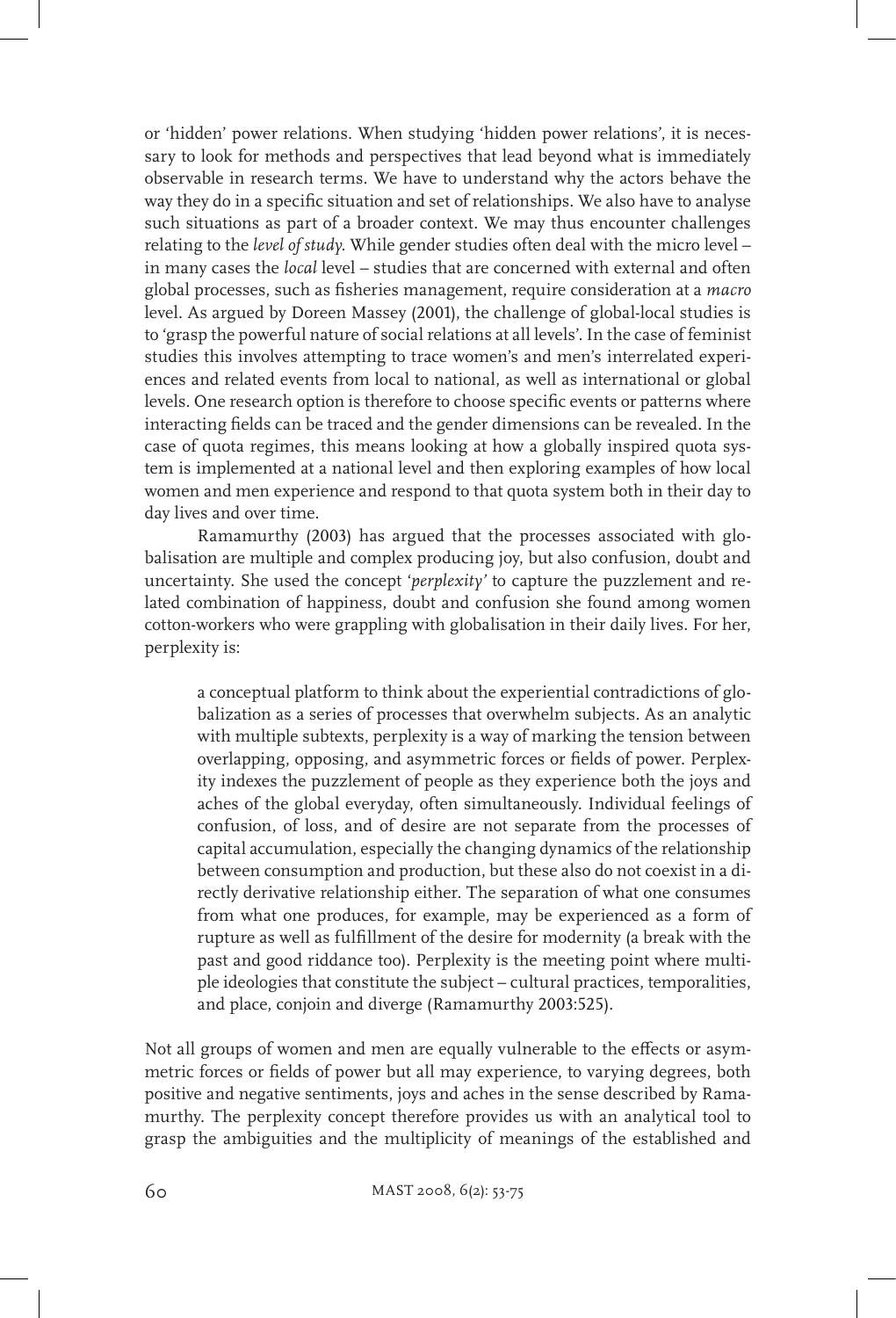or 'hidden' power relations. When studying 'hidden power relations', it is necessary to look for methods and perspectives that lead beyond what is immediately observable in research terms. We have to understand why the actors behave the way they do in a specific situation and set of relationships. We also have to analyse such situations as part of a broader context. We may thus encounter challenges relating to the *level of study*. While gender studies often deal with the micro level – in many cases the *local* level – studies that are concerned with external and often global processes, such as fisheries management, require consideration at a *macro*  level. As argued by Doreen Massey (2001), the challenge of global-local studies is to 'grasp the powerful nature of social relations at all levels'. In the case of feminist studies this involves attempting to trace women's and men's interrelated experiences and related events from local to national, as well as international or global levels. One research option is therefore to choose specific events or patterns where interacting fields can be traced and the gender dimensions can be revealed. In the case of quota regimes, this means looking at how a globally inspired quota system is implemented at a national level and then exploring examples of how local women and men experience and respond to that quota system both in their day to day lives and over time.

Ramamurthy (2003) has argued that the processes associated with globalisation are multiple and complex producing joy, but also confusion, doubt and uncertainty. She used the concept '*perplexity'* to capture the puzzlement and related combination of happiness, doubt and confusion she found among women cotton-workers who were grappling with globalisation in their daily lives. For her, perplexity is:

a conceptual platform to think about the experiential contradictions of globalization as a series of processes that overwhelm subjects. As an analytic with multiple subtexts, perplexity is a way of marking the tension between overlapping, opposing, and asymmetric forces or fields of power. Perplexity indexes the puzzlement of people as they experience both the joys and aches of the global everyday, often simultaneously. Individual feelings of confusion, of loss, and of desire are not separate from the processes of capital accumulation, especially the changing dynamics of the relationship between consumption and production, but these also do not coexist in a directly derivative relationship either. The separation of what one consumes from what one produces, for example, may be experienced as a form of rupture as well as fulfillment of the desire for modernity (a break with the past and good riddance too). Perplexity is the meeting point where multiple ideologies that constitute the subject – cultural practices, temporalities, and place, conjoin and diverge (Ramamurthy 2003:525).

Not all groups of women and men are equally vulnerable to the effects or asymmetric forces or fields of power but all may experience, to varying degrees, both positive and negative sentiments, joys and aches in the sense described by Ramamurthy. The perplexity concept therefore provides us with an analytical tool to grasp the ambiguities and the multiplicity of meanings of the established and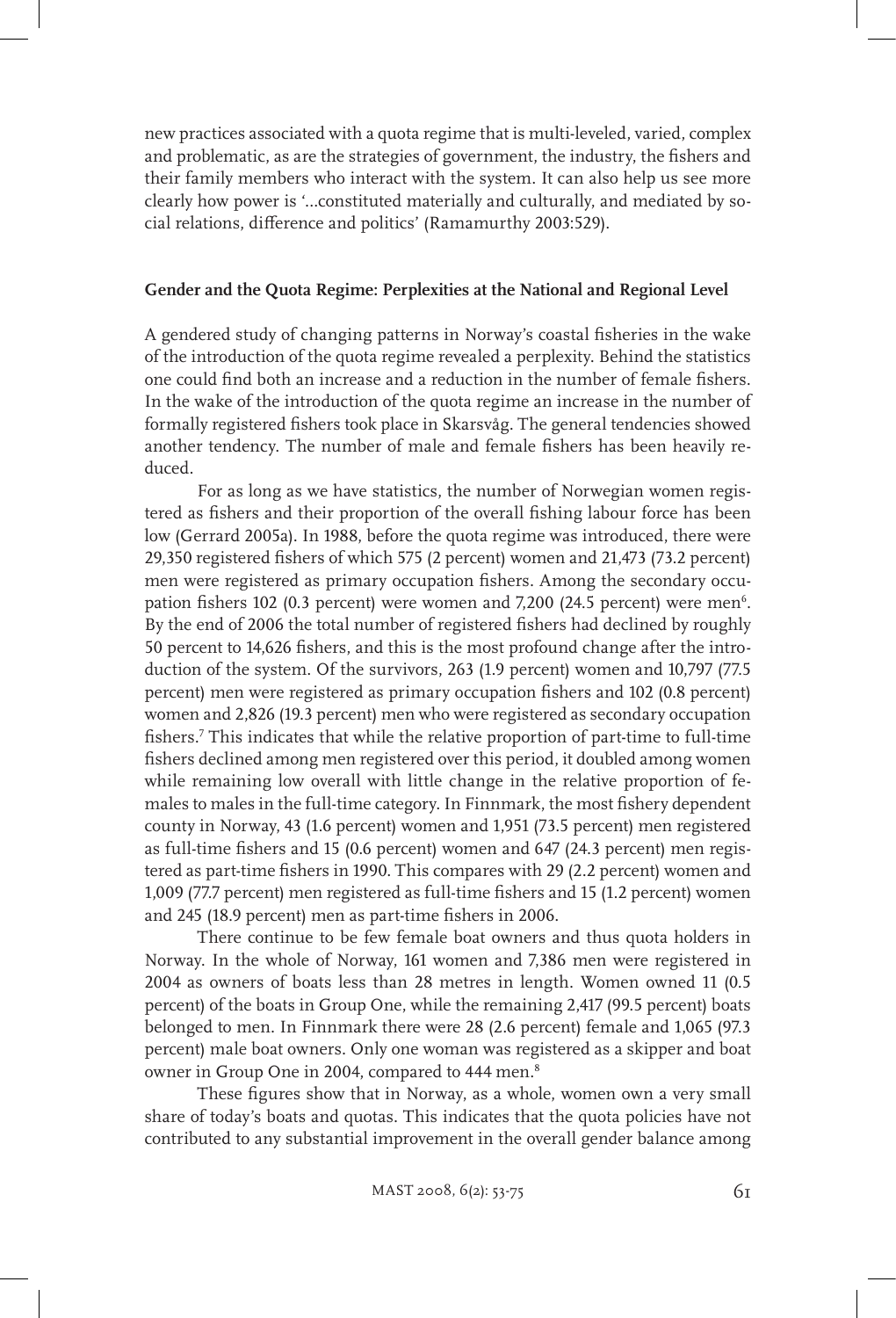new practices associated with a quota regime that is multi-leveled, varied, complex and problematic, as are the strategies of government, the industry, the fishers and their family members who interact with the system. It can also help us see more clearly how power is '…constituted materially and culturally, and mediated by social relations, difference and politics' (Ramamurthy 2003:529).

### **Gender and the Quota Regime: Perplexities at the National and Regional Level**

A gendered study of changing patterns in Norway's coastal fisheries in the wake of the introduction of the quota regime revealed a perplexity. Behind the statistics one could find both an increase and a reduction in the number of female fishers. In the wake of the introduction of the quota regime an increase in the number of formally registered fishers took place in Skarsvåg. The general tendencies showed another tendency. The number of male and female fishers has been heavily reduced.

For as long as we have statistics, the number of Norwegian women registered as fishers and their proportion of the overall fishing labour force has been low (Gerrard 2005a). In 1988, before the quota regime was introduced, there were 29,350 registered fishers of which 575 (2 percent) women and 21,473 (73.2 percent) men were registered as primary occupation fishers. Among the secondary occupation fishers 102 (0.3 percent) were women and 7,200 (24.5 percent) were men $6$ . By the end of 2006 the total number of registered fishers had declined by roughly 50 percent to 14,626 fishers, and this is the most profound change after the introduction of the system. Of the survivors, 263 (1.9 percent) women and 10,797 (77.5 percent) men were registered as primary occupation fishers and 102 (0.8 percent) women and 2,826 (19.3 percent) men who were registered as secondary occupation fishers.7 This indicates that while the relative proportion of part-time to full-time fishers declined among men registered over this period, it doubled among women while remaining low overall with little change in the relative proportion of females to males in the full-time category. In Finnmark, the most fishery dependent county in Norway, 43 (1.6 percent) women and 1,951 (73.5 percent) men registered as full-time fishers and 15 (0.6 percent) women and 647 (24.3 percent) men registered as part-time fishers in 1990. This compares with 29 (2.2 percent) women and 1,009 (77.7 percent) men registered as full-time fishers and 15 (1.2 percent) women and 245 (18.9 percent) men as part-time fishers in 2006.

There continue to be few female boat owners and thus quota holders in Norway. In the whole of Norway, 161 women and 7,386 men were registered in 2004 as owners of boats less than 28 metres in length. Women owned 11 (0.5 percent) of the boats in Group One, while the remaining 2,417 (99.5 percent) boats belonged to men. In Finnmark there were 28 (2.6 percent) female and 1,065 (97.3 percent) male boat owners. Only one woman was registered as a skipper and boat owner in Group One in 2004, compared to 444 men.8

These figures show that in Norway, as a whole, women own a very small share of today's boats and quotas. This indicates that the quota policies have not contributed to any substantial improvement in the overall gender balance among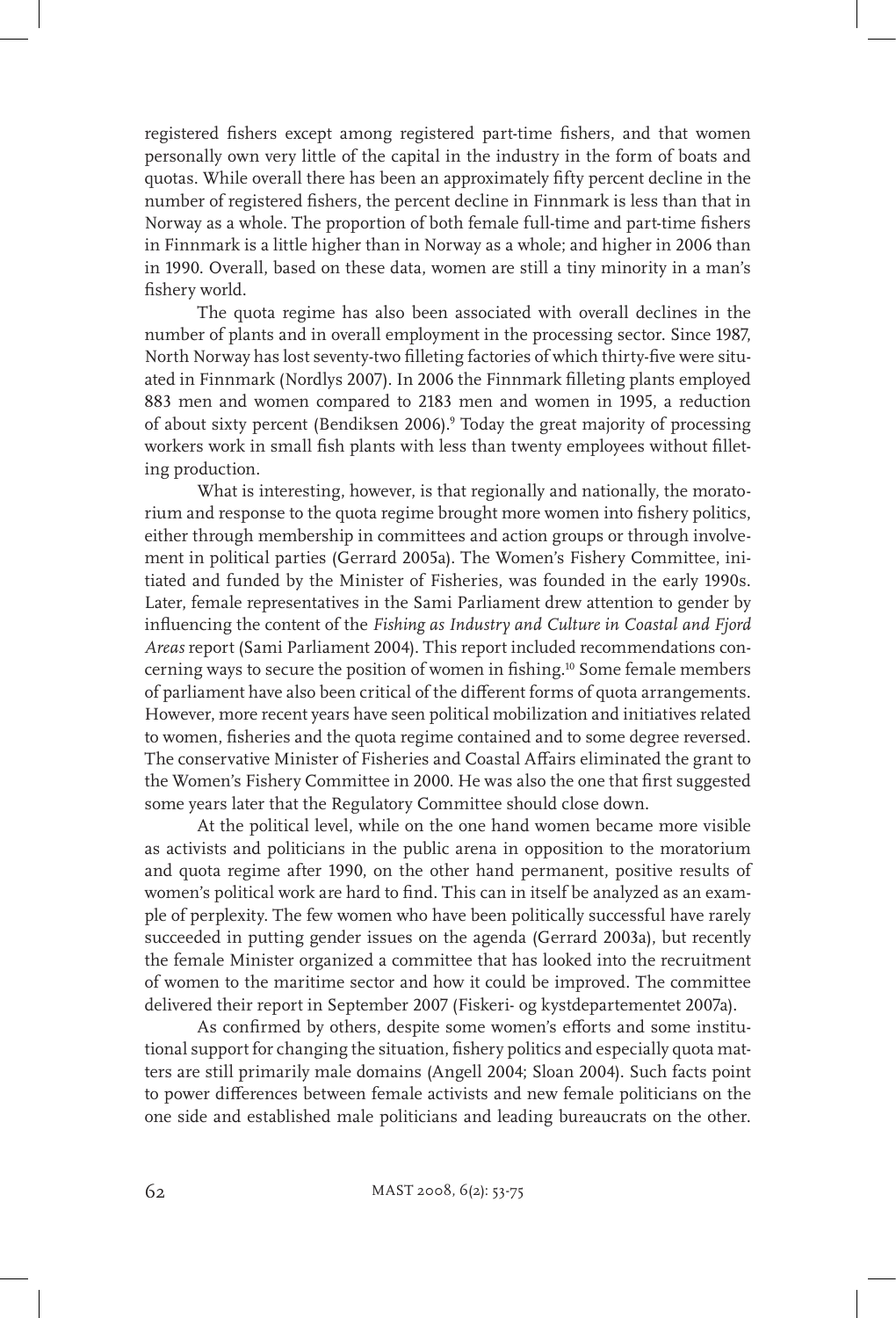registered fishers except among registered part-time fishers, and that women personally own very little of the capital in the industry in the form of boats and quotas. While overall there has been an approximately fifty percent decline in the number of registered fishers, the percent decline in Finnmark is less than that in Norway as a whole. The proportion of both female full-time and part-time fishers in Finnmark is a little higher than in Norway as a whole; and higher in 2006 than in 1990. Overall, based on these data, women are still a tiny minority in a man's fishery world.

The quota regime has also been associated with overall declines in the number of plants and in overall employment in the processing sector. Since 1987, North Norway has lost seventy-two filleting factories of which thirty-five were situated in Finnmark (Nordlys 2007). In 2006 the Finnmark filleting plants employed 883 men and women compared to 2183 men and women in 1995, a reduction of about sixty percent (Bendiksen 2006).9 Today the great majority of processing workers work in small fish plants with less than twenty employees without filleting production.

What is interesting, however, is that regionally and nationally, the moratorium and response to the quota regime brought more women into fishery politics, either through membership in committees and action groups or through involvement in political parties (Gerrard 2005a). The Women's Fishery Committee, initiated and funded by the Minister of Fisheries, was founded in the early 1990s. Later, female representatives in the Sami Parliament drew attention to gender by influencing the content of the *Fishing as Industry and Culture in Coastal and Fjord Areas* report (Sami Parliament 2004). This report included recommendations concerning ways to secure the position of women in fishing.10 Some female members of parliament have also been critical of the different forms of quota arrangements. However, more recent years have seen political mobilization and initiatives related to women, fisheries and the quota regime contained and to some degree reversed. The conservative Minister of Fisheries and Coastal Affairs eliminated the grant to the Women's Fishery Committee in 2000. He was also the one that first suggested some years later that the Regulatory Committee should close down.

At the political level, while on the one hand women became more visible as activists and politicians in the public arena in opposition to the moratorium and quota regime after 1990, on the other hand permanent, positive results of women's political work are hard to find. This can in itself be analyzed as an example of perplexity. The few women who have been politically successful have rarely succeeded in putting gender issues on the agenda (Gerrard 2003a), but recently the female Minister organized a committee that has looked into the recruitment of women to the maritime sector and how it could be improved. The committee delivered their report in September 2007 (Fiskeri- og kystdepartementet 2007a).

As confirmed by others, despite some women's efforts and some institutional support for changing the situation, fishery politics and especially quota matters are still primarily male domains (Angell 2004; Sloan 2004). Such facts point to power differences between female activists and new female politicians on the one side and established male politicians and leading bureaucrats on the other.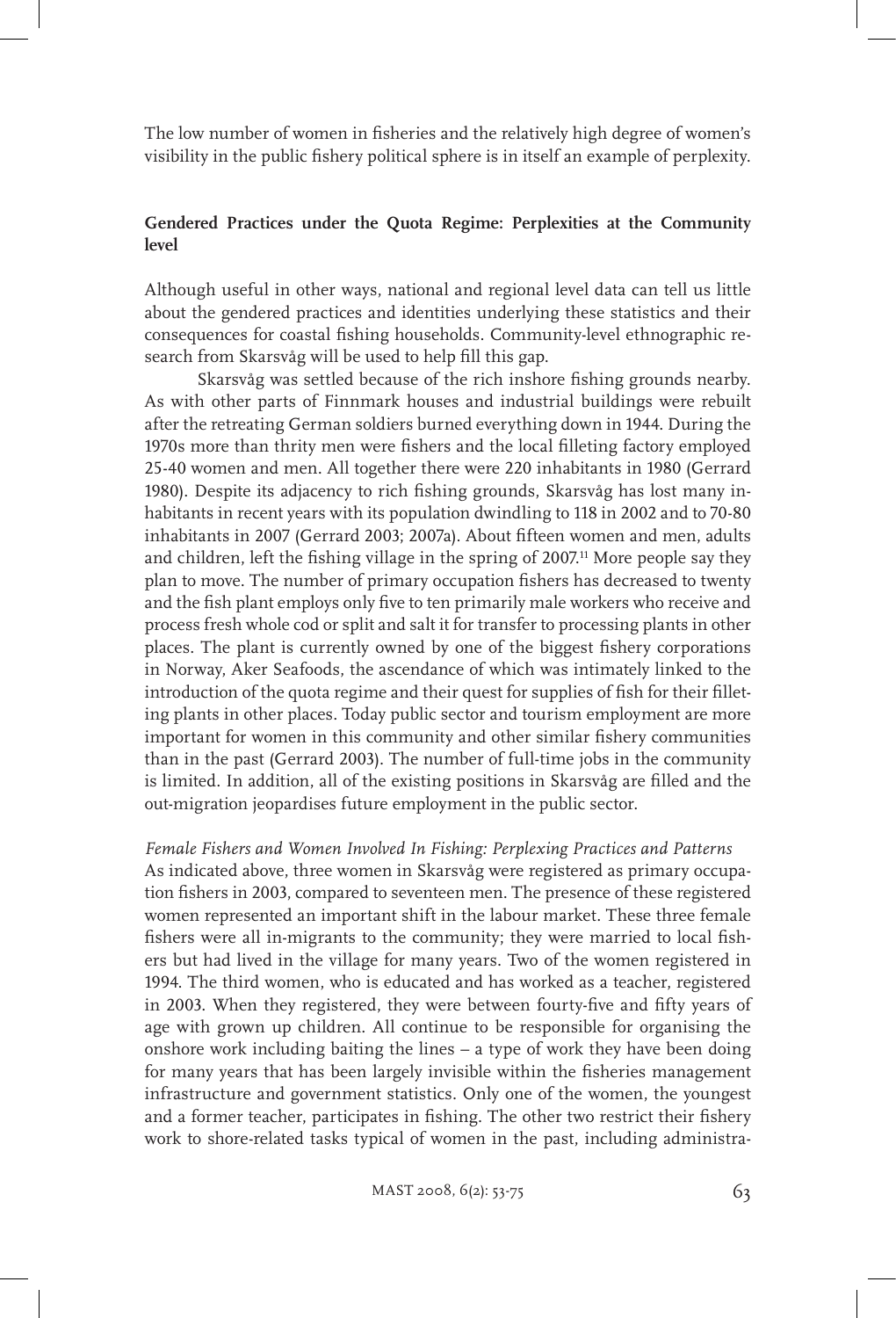The low number of women in fisheries and the relatively high degree of women's visibility in the public fishery political sphere is in itself an example of perplexity.

# **Gendered Practices under the Quota Regime: Perplexities at the Community level**

Although useful in other ways, national and regional level data can tell us little about the gendered practices and identities underlying these statistics and their consequences for coastal fishing households. Community-level ethnographic research from Skarsvåg will be used to help fill this gap.

Skarsvåg was settled because of the rich inshore fishing grounds nearby. As with other parts of Finnmark houses and industrial buildings were rebuilt after the retreating German soldiers burned everything down in 1944. During the 1970s more than thrity men were fishers and the local filleting factory employed 25-40 women and men. All together there were 220 inhabitants in 1980 (Gerrard 1980). Despite its adjacency to rich fishing grounds, Skarsvåg has lost many inhabitants in recent years with its population dwindling to 118 in 2002 and to 70-80 inhabitants in 2007 (Gerrard 2003; 2007a). About fifteen women and men, adults and children, left the fishing village in the spring of 2007.<sup>11</sup> More people say they plan to move. The number of primary occupation fishers has decreased to twenty and the fish plant employs only five to ten primarily male workers who receive and process fresh whole cod or split and salt it for transfer to processing plants in other places. The plant is currently owned by one of the biggest fishery corporations in Norway, Aker Seafoods, the ascendance of which was intimately linked to the introduction of the quota regime and their quest for supplies of fish for their filleting plants in other places. Today public sector and tourism employment are more important for women in this community and other similar fishery communities than in the past (Gerrard 2003). The number of full-time jobs in the community is limited. In addition, all of the existing positions in Skarsvåg are filled and the out-migration jeopardises future employment in the public sector.

#### *Female Fishers and Women Involved In Fishing: Perplexing Practices and Patterns*

As indicated above, three women in Skarsvåg were registered as primary occupation fishers in 2003, compared to seventeen men. The presence of these registered women represented an important shift in the labour market. These three female fishers were all in-migrants to the community; they were married to local fishers but had lived in the village for many years. Two of the women registered in 1994. The third women, who is educated and has worked as a teacher, registered in 2003. When they registered, they were between fourty-five and fifty years of age with grown up children. All continue to be responsible for organising the onshore work including baiting the lines – a type of work they have been doing for many years that has been largely invisible within the fisheries management infrastructure and government statistics. Only one of the women, the youngest and a former teacher, participates in fishing. The other two restrict their fishery work to shore-related tasks typical of women in the past, including administra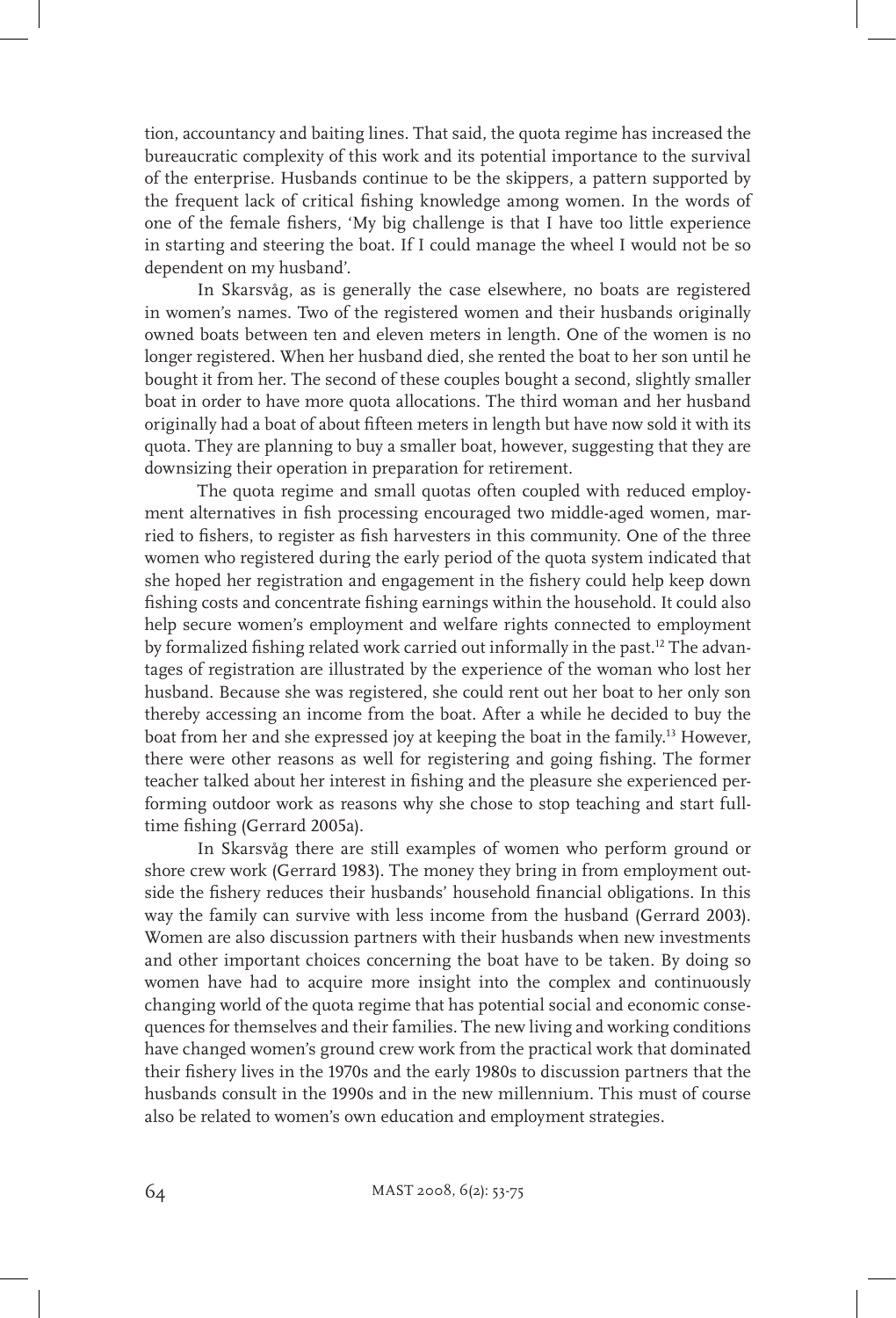tion, accountancy and baiting lines. That said, the quota regime has increased the bureaucratic complexity of this work and its potential importance to the survival of the enterprise. Husbands continue to be the skippers, a pattern supported by the frequent lack of critical fishing knowledge among women. In the words of one of the female fishers, 'My big challenge is that I have too little experience in starting and steering the boat. If I could manage the wheel I would not be so dependent on my husband'.

In Skarsvåg, as is generally the case elsewhere, no boats are registered in women's names. Two of the registered women and their husbands originally owned boats between ten and eleven meters in length. One of the women is no longer registered. When her husband died, she rented the boat to her son until he bought it from her. The second of these couples bought a second, slightly smaller boat in order to have more quota allocations. The third woman and her husband originally had a boat of about fifteen meters in length but have now sold it with its quota. They are planning to buy a smaller boat, however, suggesting that they are downsizing their operation in preparation for retirement.

The quota regime and small quotas often coupled with reduced employment alternatives in fish processing encouraged two middle-aged women, married to fishers, to register as fish harvesters in this community. One of the three women who registered during the early period of the quota system indicated that she hoped her registration and engagement in the fishery could help keep down fishing costs and concentrate fishing earnings within the household. It could also help secure women's employment and welfare rights connected to employment by formalized fishing related work carried out informally in the past.12 The advantages of registration are illustrated by the experience of the woman who lost her husband. Because she was registered, she could rent out her boat to her only son thereby accessing an income from the boat. After a while he decided to buy the boat from her and she expressed joy at keeping the boat in the family.13 However, there were other reasons as well for registering and going fishing. The former teacher talked about her interest in fishing and the pleasure she experienced performing outdoor work as reasons why she chose to stop teaching and start fulltime fishing (Gerrard 2005a).

In Skarsvåg there are still examples of women who perform ground or shore crew work (Gerrard 1983). The money they bring in from employment outside the fishery reduces their husbands' household financial obligations. In this way the family can survive with less income from the husband (Gerrard 2003). Women are also discussion partners with their husbands when new investments and other important choices concerning the boat have to be taken. By doing so women have had to acquire more insight into the complex and continuously changing world of the quota regime that has potential social and economic consequences for themselves and their families. The new living and working conditions have changed women's ground crew work from the practical work that dominated their fishery lives in the 1970s and the early 1980s to discussion partners that the husbands consult in the 1990s and in the new millennium. This must of course also be related to women's own education and employment strategies.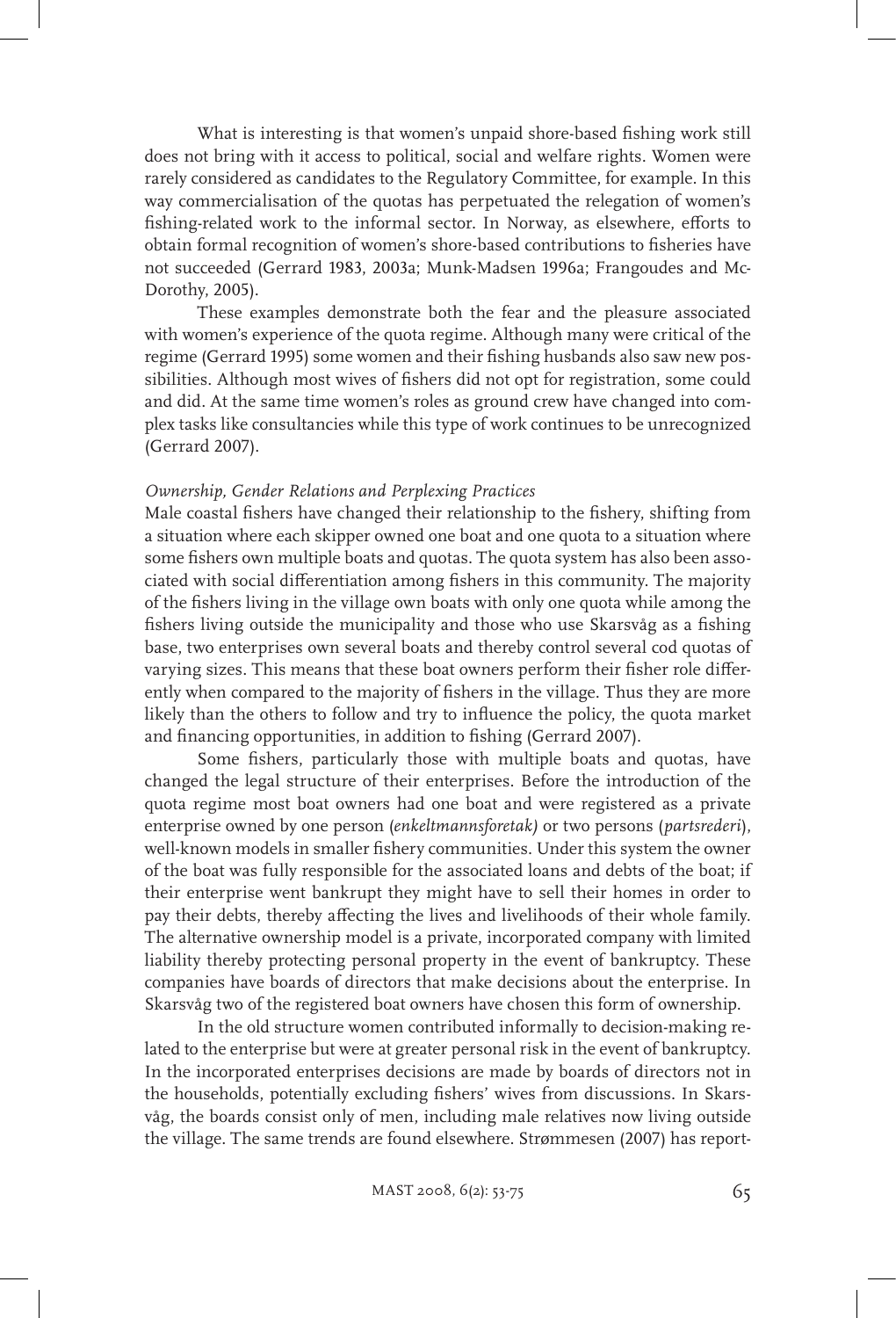What is interesting is that women's unpaid shore-based fishing work still does not bring with it access to political, social and welfare rights. Women were rarely considered as candidates to the Regulatory Committee, for example. In this way commercialisation of the quotas has perpetuated the relegation of women's fishing-related work to the informal sector. In Norway, as elsewhere, efforts to obtain formal recognition of women's shore-based contributions to fisheries have not succeeded (Gerrard 1983, 2003a; Munk-Madsen 1996a; Frangoudes and Mc-Dorothy, 2005).

These examples demonstrate both the fear and the pleasure associated with women's experience of the quota regime. Although many were critical of the regime (Gerrard 1995) some women and their fishing husbands also saw new possibilities. Although most wives of fishers did not opt for registration, some could and did. At the same time women's roles as ground crew have changed into complex tasks like consultancies while this type of work continues to be unrecognized (Gerrard 2007).

### *Ownership, Gender Relations and Perplexing Practices*

Male coastal fishers have changed their relationship to the fishery, shifting from a situation where each skipper owned one boat and one quota to a situation where some fishers own multiple boats and quotas. The quota system has also been associated with social differentiation among fishers in this community. The majority of the fishers living in the village own boats with only one quota while among the fishers living outside the municipality and those who use Skarsvåg as a fishing base, two enterprises own several boats and thereby control several cod quotas of varying sizes. This means that these boat owners perform their fisher role differently when compared to the majority of fishers in the village. Thus they are more likely than the others to follow and try to influence the policy, the quota market and financing opportunities, in addition to fishing (Gerrard 2007).

Some fishers, particularly those with multiple boats and quotas, have changed the legal structure of their enterprises. Before the introduction of the quota regime most boat owners had one boat and were registered as a private enterprise owned by one person (*enkeltmannsforetak)* or two persons (*partsrederi*), well-known models in smaller fishery communities. Under this system the owner of the boat was fully responsible for the associated loans and debts of the boat; if their enterprise went bankrupt they might have to sell their homes in order to pay their debts, thereby affecting the lives and livelihoods of their whole family. The alternative ownership model is a private, incorporated company with limited liability thereby protecting personal property in the event of bankruptcy. These companies have boards of directors that make decisions about the enterprise. In Skarsvåg two of the registered boat owners have chosen this form of ownership.

In the old structure women contributed informally to decision-making related to the enterprise but were at greater personal risk in the event of bankruptcy. In the incorporated enterprises decisions are made by boards of directors not in the households, potentially excluding fishers' wives from discussions. In Skarsvåg, the boards consist only of men, including male relatives now living outside the village. The same trends are found elsewhere. Strømmesen (2007) has report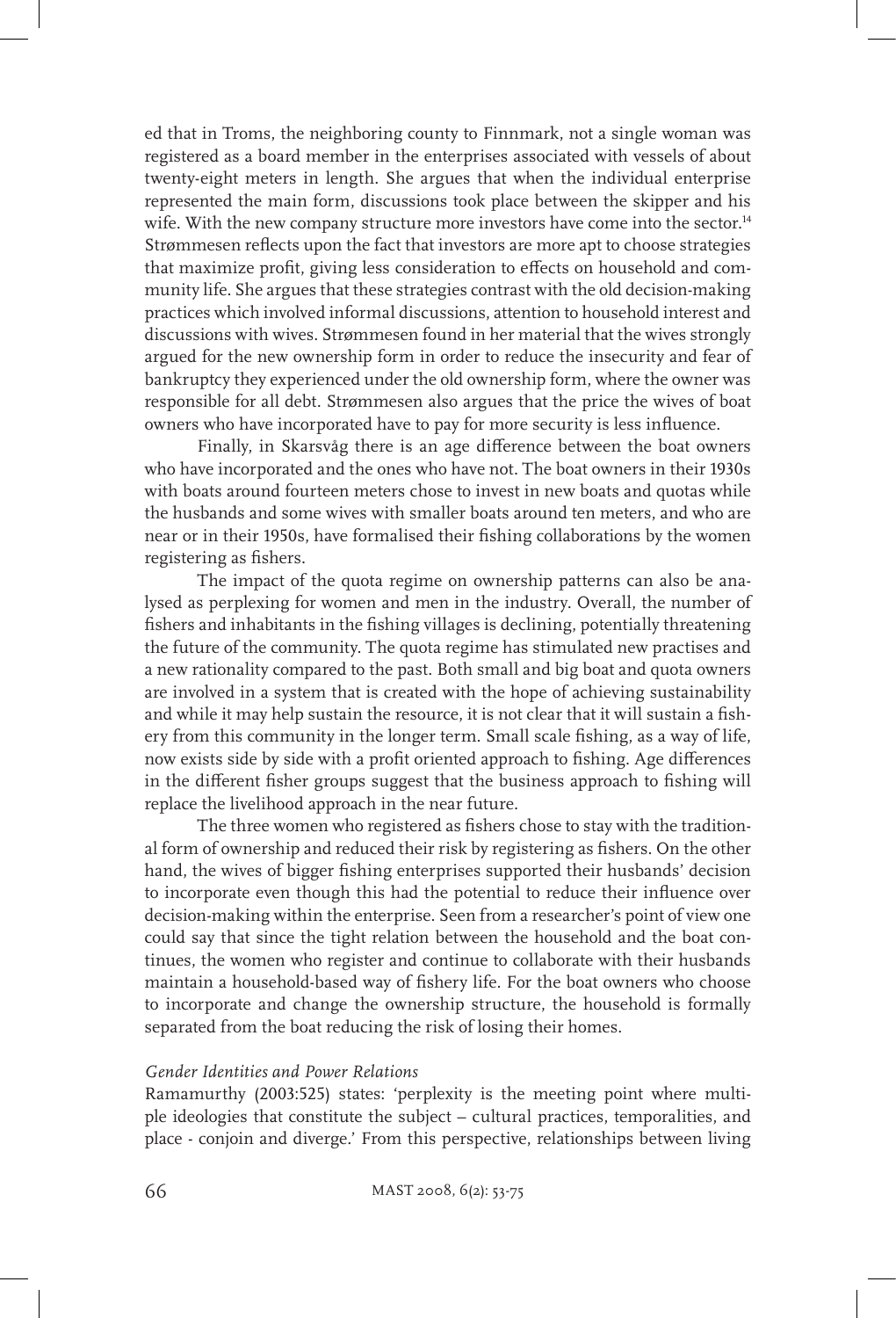ed that in Troms, the neighboring county to Finnmark, not a single woman was registered as a board member in the enterprises associated with vessels of about twenty-eight meters in length. She argues that when the individual enterprise represented the main form, discussions took place between the skipper and his wife. With the new company structure more investors have come into the sector.<sup>14</sup> Strømmesen reflects upon the fact that investors are more apt to choose strategies that maximize profit, giving less consideration to effects on household and community life. She argues that these strategies contrast with the old decision-making practices which involved informal discussions, attention to household interest and discussions with wives. Strømmesen found in her material that the wives strongly argued for the new ownership form in order to reduce the insecurity and fear of bankruptcy they experienced under the old ownership form, where the owner was responsible for all debt. Strømmesen also argues that the price the wives of boat owners who have incorporated have to pay for more security is less influence.

Finally, in Skarsvåg there is an age difference between the boat owners who have incorporated and the ones who have not. The boat owners in their 1930s with boats around fourteen meters chose to invest in new boats and quotas while the husbands and some wives with smaller boats around ten meters, and who are near or in their 1950s, have formalised their fishing collaborations by the women registering as fishers.

The impact of the quota regime on ownership patterns can also be analysed as perplexing for women and men in the industry. Overall, the number of fishers and inhabitants in the fishing villages is declining, potentially threatening the future of the community. The quota regime has stimulated new practises and a new rationality compared to the past. Both small and big boat and quota owners are involved in a system that is created with the hope of achieving sustainability and while it may help sustain the resource, it is not clear that it will sustain a fishery from this community in the longer term. Small scale fishing, as a way of life, now exists side by side with a profit oriented approach to fishing. Age differences in the different fisher groups suggest that the business approach to fishing will replace the livelihood approach in the near future.

The three women who registered as fishers chose to stay with the traditional form of ownership and reduced their risk by registering as fishers. On the other hand, the wives of bigger fishing enterprises supported their husbands' decision to incorporate even though this had the potential to reduce their influence over decision-making within the enterprise. Seen from a researcher's point of view one could say that since the tight relation between the household and the boat continues, the women who register and continue to collaborate with their husbands maintain a household-based way of fishery life. For the boat owners who choose to incorporate and change the ownership structure, the household is formally separated from the boat reducing the risk of losing their homes.

#### *Gender Identities and Power Relations*

Ramamurthy (2003:525) states: 'perplexity is the meeting point where multiple ideologies that constitute the subject – cultural practices, temporalities, and place - conjoin and diverge.' From this perspective, relationships between living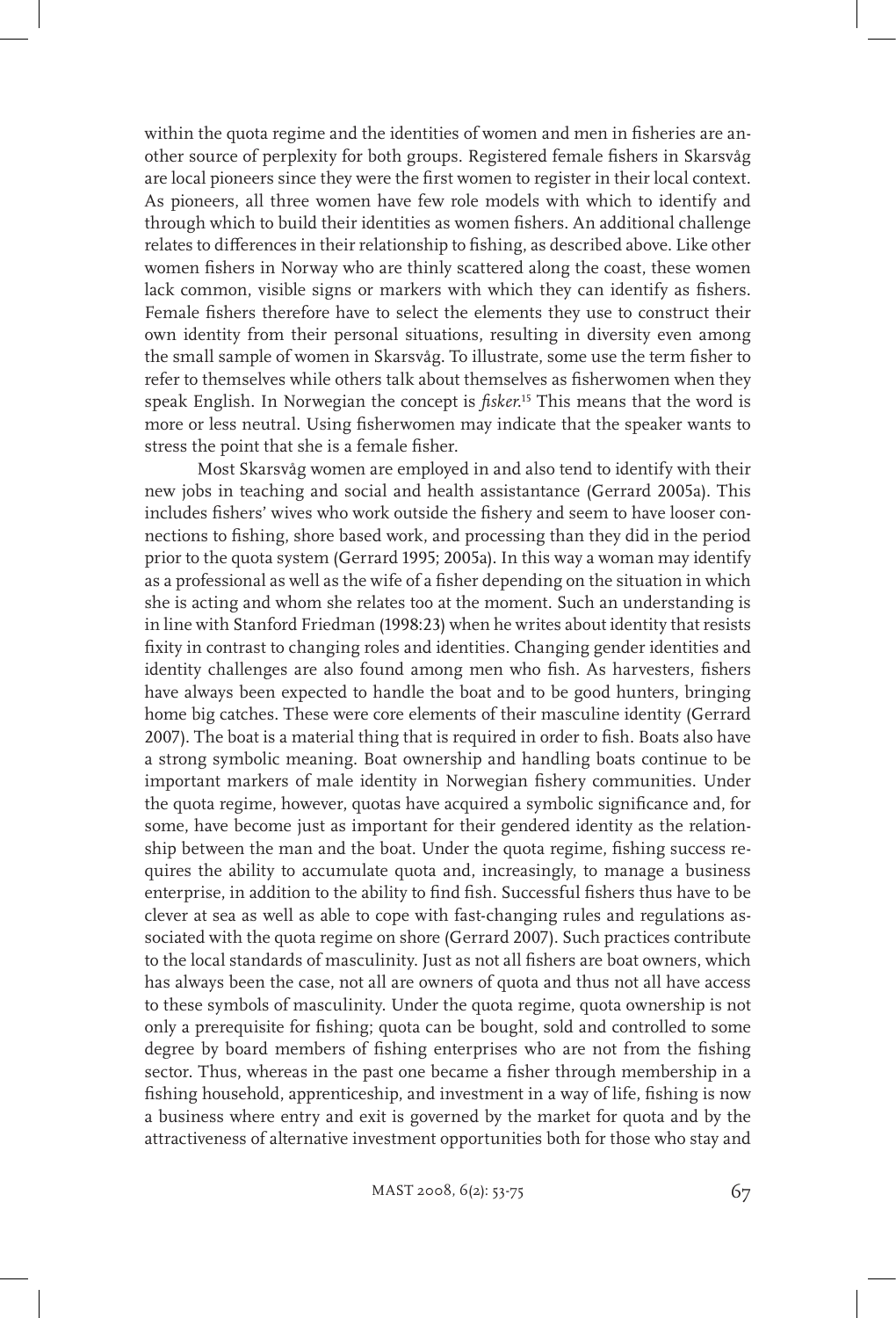within the quota regime and the identities of women and men in fisheries are another source of perplexity for both groups. Registered female fishers in Skarsvåg are local pioneers since they were the first women to register in their local context. As pioneers, all three women have few role models with which to identify and through which to build their identities as women fishers. An additional challenge relates to differences in their relationship to fishing, as described above. Like other women fishers in Norway who are thinly scattered along the coast, these women lack common, visible signs or markers with which they can identify as fishers. Female fishers therefore have to select the elements they use to construct their own identity from their personal situations, resulting in diversity even among the small sample of women in Skarsvåg. To illustrate, some use the term fisher to refer to themselves while others talk about themselves as fisherwomen when they speak English. In Norwegian the concept is *fisker*. 15 This means that the word is more or less neutral. Using fisherwomen may indicate that the speaker wants to stress the point that she is a female fisher.

Most Skarsvåg women are employed in and also tend to identify with their new jobs in teaching and social and health assistantance (Gerrard 2005a). This includes fishers' wives who work outside the fishery and seem to have looser connections to fishing, shore based work, and processing than they did in the period prior to the quota system (Gerrard 1995; 2005a). In this way a woman may identify as a professional as well as the wife of a fisher depending on the situation in which she is acting and whom she relates too at the moment. Such an understanding is in line with Stanford Friedman (1998:23) when he writes about identity that resists fixity in contrast to changing roles and identities. Changing gender identities and identity challenges are also found among men who fish. As harvesters, fishers have always been expected to handle the boat and to be good hunters, bringing home big catches. These were core elements of their masculine identity (Gerrard 2007). The boat is a material thing that is required in order to fish. Boats also have a strong symbolic meaning. Boat ownership and handling boats continue to be important markers of male identity in Norwegian fishery communities. Under the quota regime, however, quotas have acquired a symbolic significance and, for some, have become just as important for their gendered identity as the relationship between the man and the boat. Under the quota regime, fishing success requires the ability to accumulate quota and, increasingly, to manage a business enterprise, in addition to the ability to find fish. Successful fishers thus have to be clever at sea as well as able to cope with fast-changing rules and regulations associated with the quota regime on shore (Gerrard 2007). Such practices contribute to the local standards of masculinity. Just as not all fishers are boat owners, which has always been the case, not all are owners of quota and thus not all have access to these symbols of masculinity. Under the quota regime, quota ownership is not only a prerequisite for fishing; quota can be bought, sold and controlled to some degree by board members of fishing enterprises who are not from the fishing sector. Thus, whereas in the past one became a fisher through membership in a fishing household, apprenticeship, and investment in a way of life, fishing is now a business where entry and exit is governed by the market for quota and by the attractiveness of alternative investment opportunities both for those who stay and

MAST 2008, 6(2): 53-75 67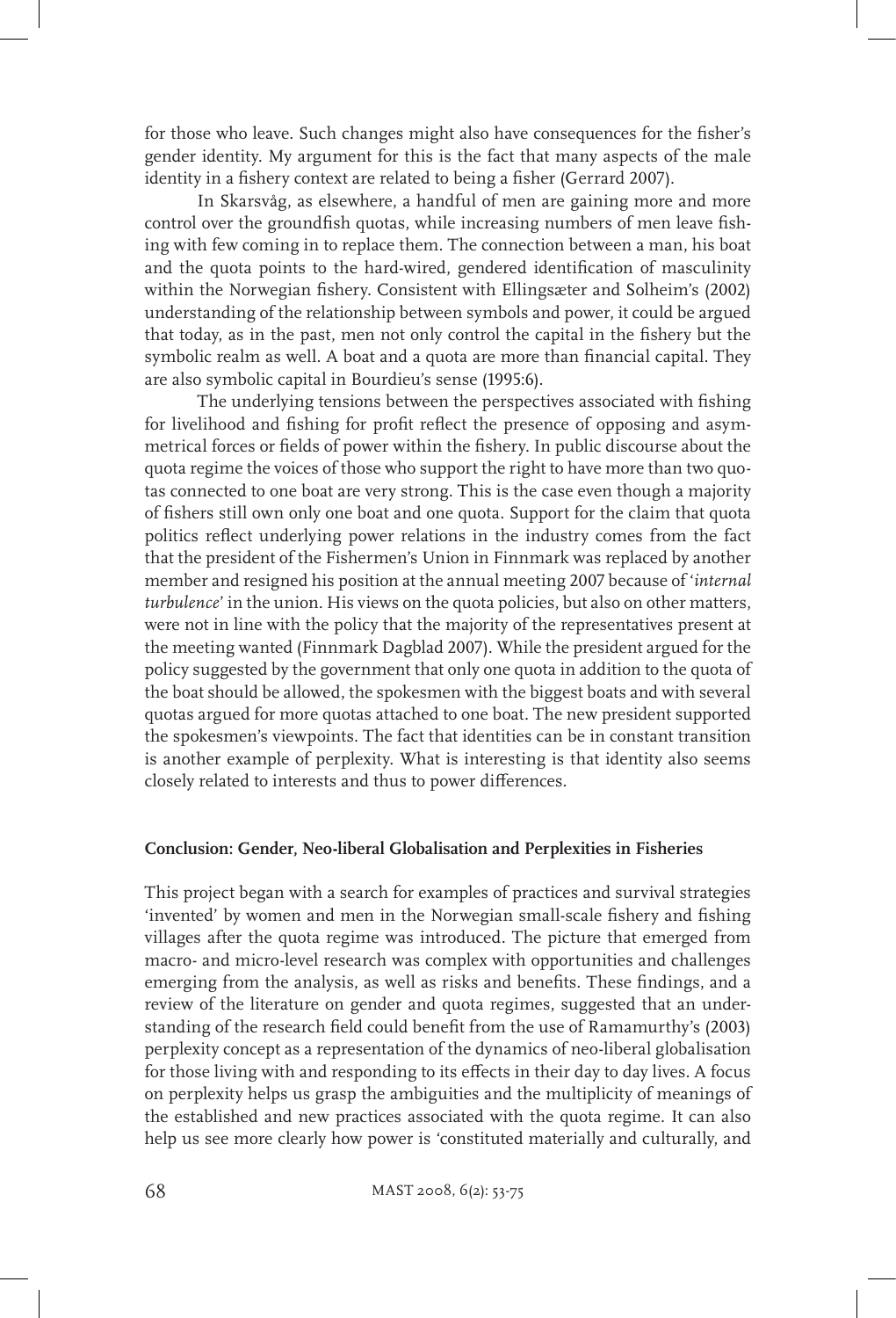for those who leave. Such changes might also have consequences for the fisher's gender identity. My argument for this is the fact that many aspects of the male identity in a fishery context are related to being a fisher (Gerrard 2007).

In Skarsvåg, as elsewhere, a handful of men are gaining more and more control over the groundfish quotas, while increasing numbers of men leave fishing with few coming in to replace them. The connection between a man, his boat and the quota points to the hard-wired, gendered identification of masculinity within the Norwegian fishery. Consistent with Ellingsæter and Solheim's (2002) understanding of the relationship between symbols and power, it could be argued that today, as in the past, men not only control the capital in the fishery but the symbolic realm as well. A boat and a quota are more than financial capital. They are also symbolic capital in Bourdieu's sense (1995:6).

The underlying tensions between the perspectives associated with fishing for livelihood and fishing for profit reflect the presence of opposing and asymmetrical forces or fields of power within the fishery. In public discourse about the quota regime the voices of those who support the right to have more than two quotas connected to one boat are very strong. This is the case even though a majority of fishers still own only one boat and one quota. Support for the claim that quota politics reflect underlying power relations in the industry comes from the fact that the president of the Fishermen's Union in Finnmark was replaced by another member and resigned his position at the annual meeting 2007 because of '*internal turbulence*' in the union. His views on the quota policies, but also on other matters, were not in line with the policy that the majority of the representatives present at the meeting wanted (Finnmark Dagblad 2007). While the president argued for the policy suggested by the government that only one quota in addition to the quota of the boat should be allowed, the spokesmen with the biggest boats and with several quotas argued for more quotas attached to one boat. The new president supported the spokesmen's viewpoints. The fact that identities can be in constant transition is another example of perplexity. What is interesting is that identity also seems closely related to interests and thus to power differences.

### **Conclusion: Gender, Neo-liberal Globalisation and Perplexities in Fisheries**

This project began with a search for examples of practices and survival strategies 'invented' by women and men in the Norwegian small-scale fishery and fishing villages after the quota regime was introduced. The picture that emerged from macro- and micro-level research was complex with opportunities and challenges emerging from the analysis, as well as risks and benefits. These findings, and a review of the literature on gender and quota regimes, suggested that an understanding of the research field could benefit from the use of Ramamurthy's (2003) perplexity concept as a representation of the dynamics of neo-liberal globalisation for those living with and responding to its effects in their day to day lives. A focus on perplexity helps us grasp the ambiguities and the multiplicity of meanings of the established and new practices associated with the quota regime. It can also help us see more clearly how power is 'constituted materially and culturally, and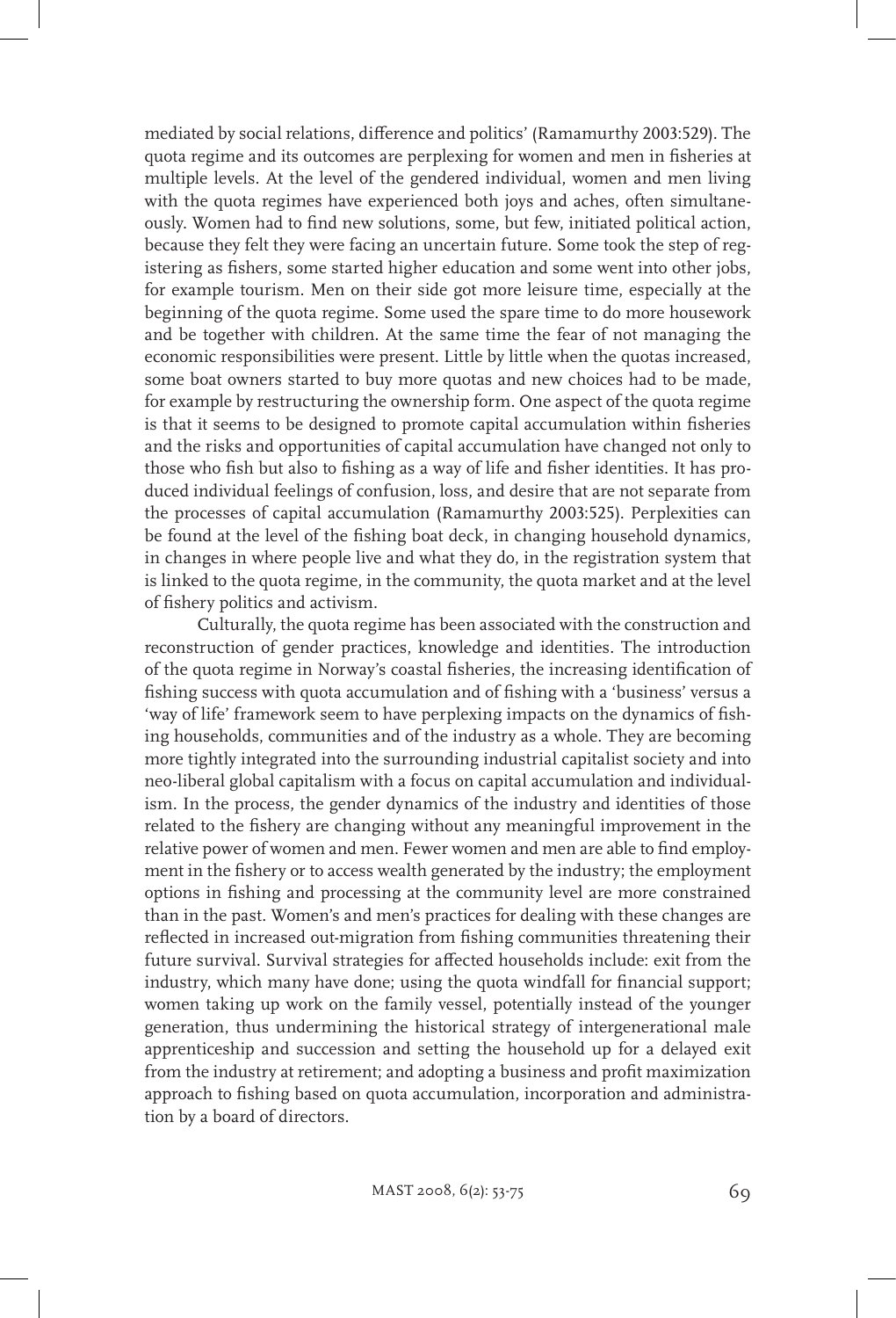mediated by social relations, difference and politics' (Ramamurthy 2003:529). The quota regime and its outcomes are perplexing for women and men in fisheries at multiple levels. At the level of the gendered individual, women and men living with the quota regimes have experienced both joys and aches, often simultaneously. Women had to find new solutions, some, but few, initiated political action, because they felt they were facing an uncertain future. Some took the step of registering as fishers, some started higher education and some went into other jobs, for example tourism. Men on their side got more leisure time, especially at the beginning of the quota regime. Some used the spare time to do more housework and be together with children. At the same time the fear of not managing the economic responsibilities were present. Little by little when the quotas increased, some boat owners started to buy more quotas and new choices had to be made, for example by restructuring the ownership form. One aspect of the quota regime is that it seems to be designed to promote capital accumulation within fisheries and the risks and opportunities of capital accumulation have changed not only to those who fish but also to fishing as a way of life and fisher identities. It has produced individual feelings of confusion, loss, and desire that are not separate from the processes of capital accumulation (Ramamurthy 2003:525). Perplexities can be found at the level of the fishing boat deck, in changing household dynamics, in changes in where people live and what they do, in the registration system that is linked to the quota regime, in the community, the quota market and at the level of fishery politics and activism.

Culturally, the quota regime has been associated with the construction and reconstruction of gender practices, knowledge and identities. The introduction of the quota regime in Norway's coastal fisheries, the increasing identification of fishing success with quota accumulation and of fishing with a 'business' versus a 'way of life' framework seem to have perplexing impacts on the dynamics of fishing households, communities and of the industry as a whole. They are becoming more tightly integrated into the surrounding industrial capitalist society and into neo-liberal global capitalism with a focus on capital accumulation and individualism. In the process, the gender dynamics of the industry and identities of those related to the fishery are changing without any meaningful improvement in the relative power of women and men. Fewer women and men are able to find employment in the fishery or to access wealth generated by the industry; the employment options in fishing and processing at the community level are more constrained than in the past. Women's and men's practices for dealing with these changes are reflected in increased out-migration from fishing communities threatening their future survival. Survival strategies for affected households include: exit from the industry, which many have done; using the quota windfall for financial support; women taking up work on the family vessel, potentially instead of the younger generation, thus undermining the historical strategy of intergenerational male apprenticeship and succession and setting the household up for a delayed exit from the industry at retirement; and adopting a business and profit maximization approach to fishing based on quota accumulation, incorporation and administration by a board of directors.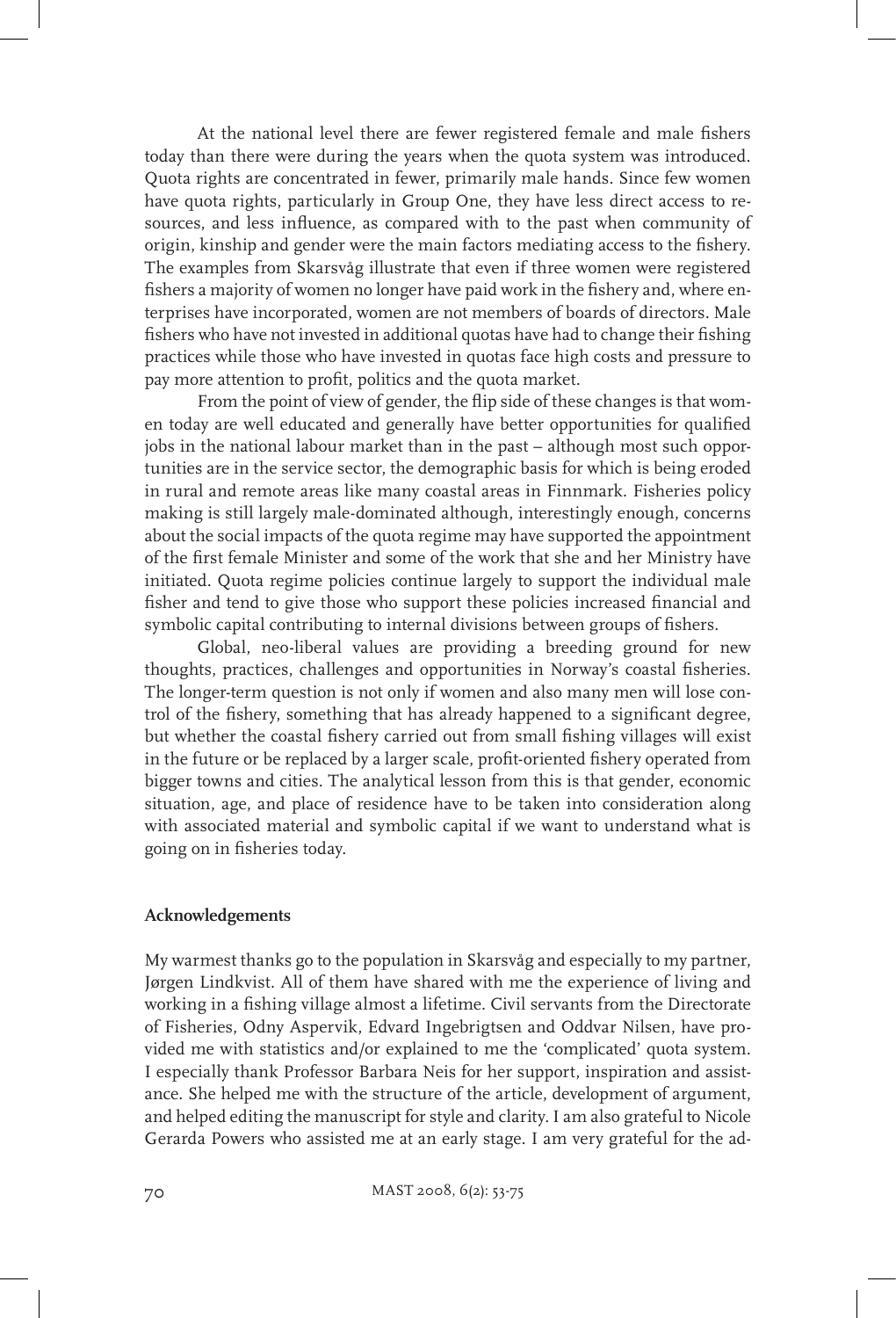At the national level there are fewer registered female and male fishers today than there were during the years when the quota system was introduced. Quota rights are concentrated in fewer, primarily male hands. Since few women have quota rights, particularly in Group One, they have less direct access to resources, and less influence, as compared with to the past when community of origin, kinship and gender were the main factors mediating access to the fishery. The examples from Skarsvåg illustrate that even if three women were registered fishers a majority of women no longer have paid work in the fishery and, where enterprises have incorporated, women are not members of boards of directors. Male fishers who have not invested in additional quotas have had to change their fishing practices while those who have invested in quotas face high costs and pressure to pay more attention to profit, politics and the quota market.

From the point of view of gender, the flip side of these changes is that women today are well educated and generally have better opportunities for qualified jobs in the national labour market than in the past – although most such opportunities are in the service sector, the demographic basis for which is being eroded in rural and remote areas like many coastal areas in Finnmark. Fisheries policy making is still largely male-dominated although, interestingly enough, concerns about the social impacts of the quota regime may have supported the appointment of the first female Minister and some of the work that she and her Ministry have initiated. Quota regime policies continue largely to support the individual male fisher and tend to give those who support these policies increased financial and symbolic capital contributing to internal divisions between groups of fishers.

Global, neo-liberal values are providing a breeding ground for new thoughts, practices, challenges and opportunities in Norway's coastal fisheries. The longer-term question is not only if women and also many men will lose control of the fishery, something that has already happened to a significant degree, but whether the coastal fishery carried out from small fishing villages will exist in the future or be replaced by a larger scale, profit-oriented fishery operated from bigger towns and cities. The analytical lesson from this is that gender, economic situation, age, and place of residence have to be taken into consideration along with associated material and symbolic capital if we want to understand what is going on in fisheries today.

# **Acknowledgements**

My warmest thanks go to the population in Skarsvåg and especially to my partner, Jørgen Lindkvist. All of them have shared with me the experience of living and working in a fishing village almost a lifetime. Civil servants from the Directorate of Fisheries, Odny Aspervik, Edvard Ingebrigtsen and Oddvar Nilsen, have provided me with statistics and/or explained to me the 'complicated' quota system. I especially thank Professor Barbara Neis for her support, inspiration and assistance. She helped me with the structure of the article, development of argument, and helped editing the manuscript for style and clarity. I am also grateful to Nicole Gerarda Powers who assisted me at an early stage. I am very grateful for the ad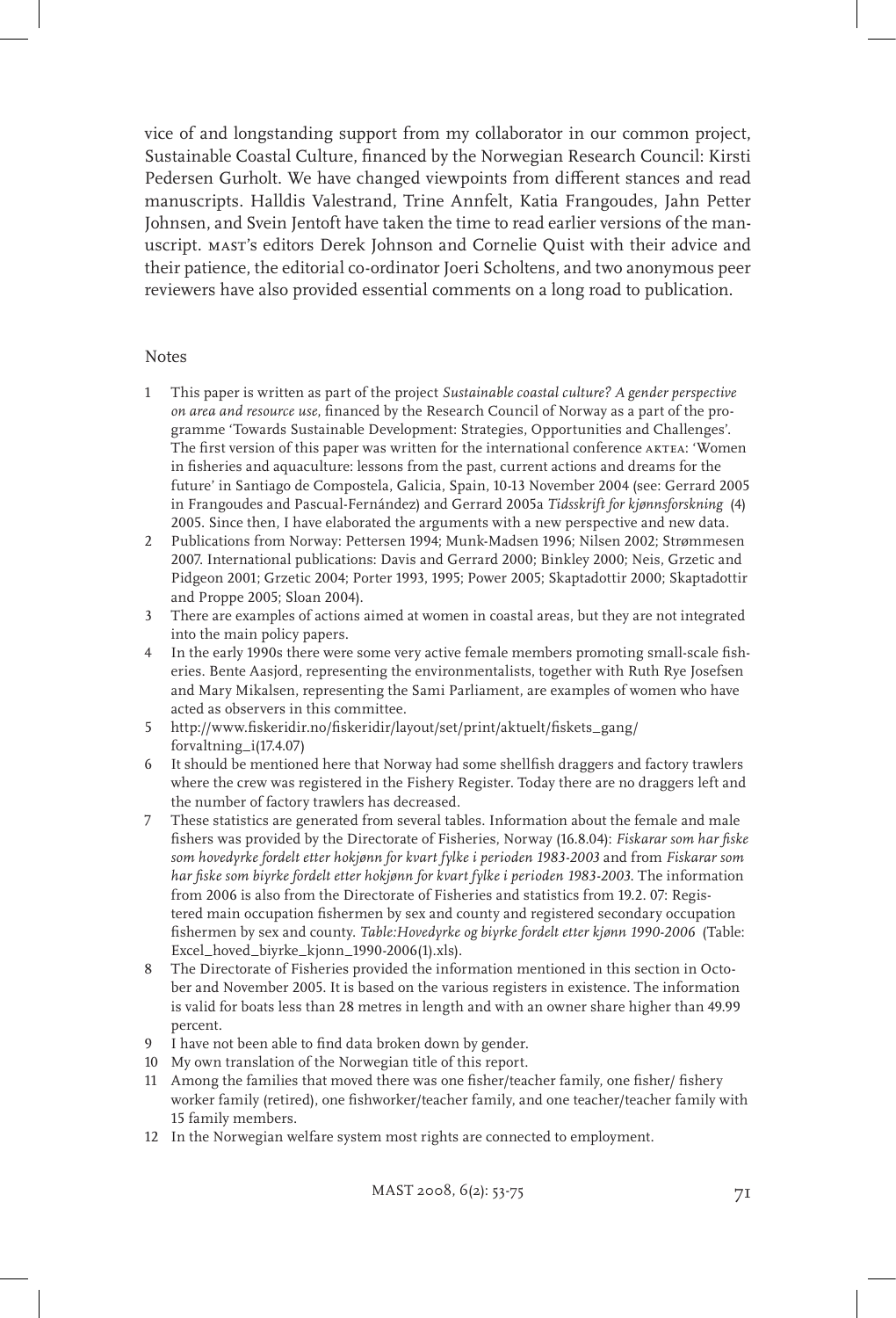vice of and longstanding support from my collaborator in our common project, Sustainable Coastal Culture, financed by the Norwegian Research Council: Kirsti Pedersen Gurholt. We have changed viewpoints from different stances and read manuscripts. Halldis Valestrand, Trine Annfelt, Katia Frangoudes, Jahn Petter Johnsen, and Svein Jentoft have taken the time to read earlier versions of the manuscript. mast's editors Derek Johnson and Cornelie Quist with their advice and their patience, the editorial co-ordinator Joeri Scholtens, and two anonymous peer reviewers have also provided essential comments on a long road to publication.

#### Notes

- 1 This paper is written as part of the project *Sustainable coastal culture? A gender perspective on area and resource use*, financed by the Research Council of Norway as a part of the programme 'Towards Sustainable Development: Strategies, Opportunities and Challenges'. The first version of this paper was written for the international conference aktea: 'Women in fisheries and aquaculture: lessons from the past, current actions and dreams for the future' in Santiago de Compostela, Galicia, Spain, 10-13 November 2004 (see: Gerrard 2005 in Frangoudes and Pascual-Fernández) and Gerrard 2005a *Tidsskrift for kjønnsforskning* (4) 2005. Since then, I have elaborated the arguments with a new perspective and new data.
- 2 Publications from Norway: Pettersen 1994; Munk-Madsen 1996; Nilsen 2002; Strømmesen 2007. International publications: Davis and Gerrard 2000; Binkley 2000; Neis, Grzetic and Pidgeon 2001; Grzetic 2004; Porter 1993, 1995; Power 2005; Skaptadottir 2000; Skaptadottir and Proppe 2005; Sloan 2004).
- 3 There are examples of actions aimed at women in coastal areas, but they are not integrated into the main policy papers.
- 4 In the early 1990s there were some very active female members promoting small-scale fisheries. Bente Aasjord, representing the environmentalists, together with Ruth Rye Josefsen and Mary Mikalsen, representing the Sami Parliament, are examples of women who have acted as observers in this committee.
- 5 http://www.fiskeridir.no/fiskeridir/layout/set/print/aktuelt/fiskets\_gang/ forvaltning\_i(17.4.07)
- 6 It should be mentioned here that Norway had some shellfish draggers and factory trawlers where the crew was registered in the Fishery Register. Today there are no draggers left and the number of factory trawlers has decreased.
- 7 These statistics are generated from several tables. Information about the female and male fishers was provided by the Directorate of Fisheries, Norway (16.8.04): *Fiskarar som har fiske som hovedyrke fordelt etter hokjønn for kvart fylke i perioden 1983-2003* and from *Fiskarar som har fiske som biyrke fordelt etter hokjønn for kvart fylke i perioden 1983-2003*. The information from 2006 is also from the Directorate of Fisheries and statistics from 19.2. 07: Registered main occupation fishermen by sex and county and registered secondary occupation fishermen by sex and county. *Table:Hovedyrke og biyrke fordelt etter kjønn 1990-2006* (Table: Excel\_hoved\_biyrke\_kjonn\_1990-2006(1).xls).
- 8 The Directorate of Fisheries provided the information mentioned in this section in October and November 2005. It is based on the various registers in existence. The information is valid for boats less than 28 metres in length and with an owner share higher than 49.99 percent.
- 9 I have not been able to find data broken down by gender.
- 10 My own translation of the Norwegian title of this report.
- 11 Among the families that moved there was one fisher/teacher family, one fisher/ fishery worker family (retired), one fishworker/teacher family, and one teacher/teacher family with 15 family members.
- 12 In the Norwegian welfare system most rights are connected to employment.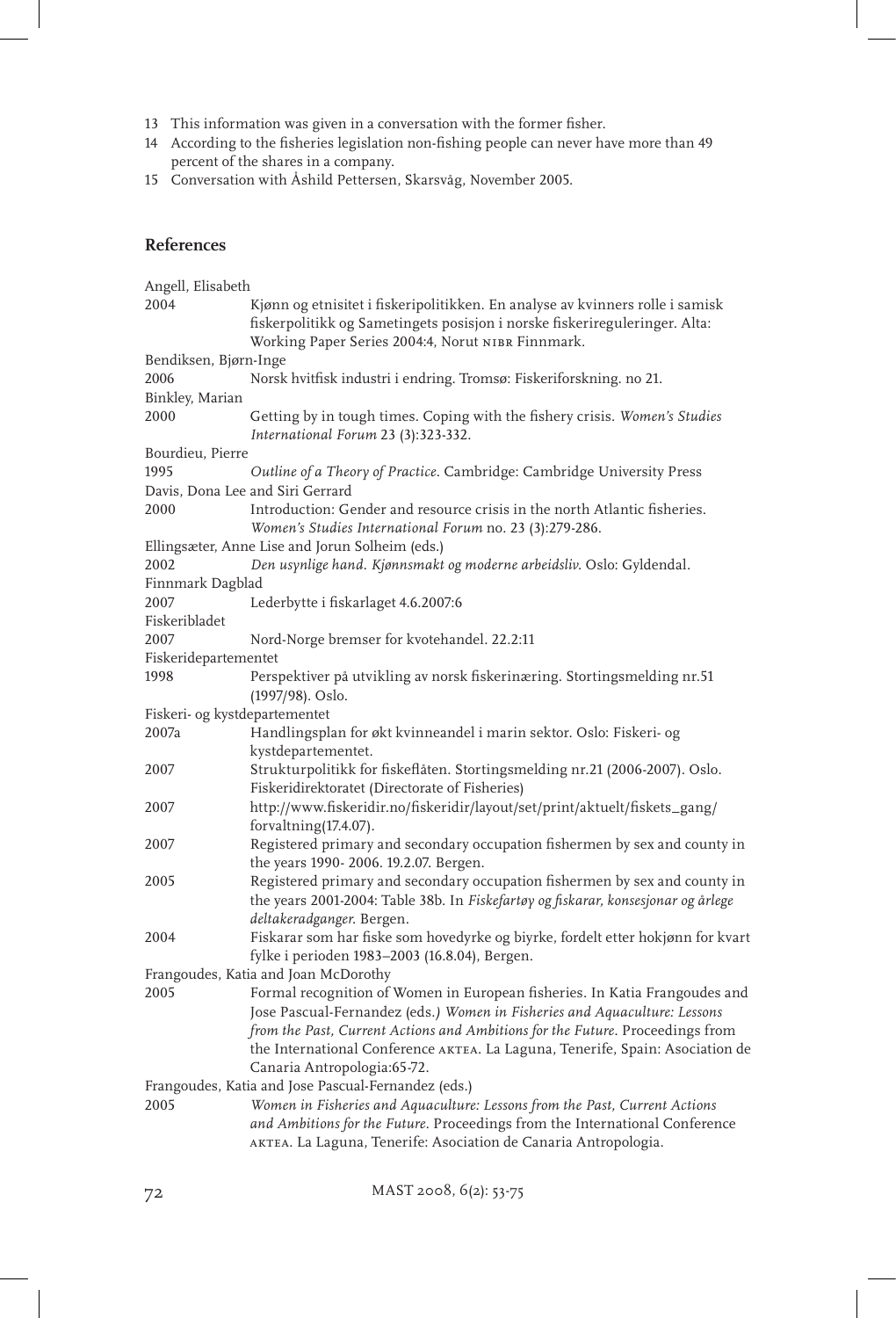- 13 This information was given in a conversation with the former fisher.
- 14 According to the fisheries legislation non-fishing people can never have more than 49 percent of the shares in a company.
- 15 Conversation with Åshild Pettersen, Skarsvåg, November 2005.

# **References**

| Angell, Elisabeth                                   |                                                                                                                                                                                                                                                                                                                                                          |  |  |
|-----------------------------------------------------|----------------------------------------------------------------------------------------------------------------------------------------------------------------------------------------------------------------------------------------------------------------------------------------------------------------------------------------------------------|--|--|
| 2004                                                | Kjønn og etnisitet i fiskeripolitikken. En analyse av kvinners rolle i samisk<br>fiskerpolitikk og Sametingets posisjon i norske fiskerireguleringer. Alta:                                                                                                                                                                                              |  |  |
| Bendiksen, Bjørn-Inge                               | Working Paper Series 2004:4, Norut NIBR Finnmark.                                                                                                                                                                                                                                                                                                        |  |  |
| 2006                                                | Norsk hvitfisk industri i endring. Tromsø: Fiskeriforskning. no 21.                                                                                                                                                                                                                                                                                      |  |  |
| Binkley, Marian                                     |                                                                                                                                                                                                                                                                                                                                                          |  |  |
| 2000                                                | Getting by in tough times. Coping with the fishery crisis. Women's Studies<br>International Forum 23 (3):323-332.                                                                                                                                                                                                                                        |  |  |
| Bourdieu, Pierre                                    |                                                                                                                                                                                                                                                                                                                                                          |  |  |
| 1995                                                | Outline of a Theory of Practice. Cambridge: Cambridge University Press                                                                                                                                                                                                                                                                                   |  |  |
|                                                     | Davis, Dona Lee and Siri Gerrard                                                                                                                                                                                                                                                                                                                         |  |  |
| 2000                                                | Introduction: Gender and resource crisis in the north Atlantic fisheries.<br>Women's Studies International Forum no. 23 (3):279-286.                                                                                                                                                                                                                     |  |  |
|                                                     | Ellingsæter, Anne Lise and Jorun Solheim (eds.)                                                                                                                                                                                                                                                                                                          |  |  |
| 2002                                                | Den usynlige hand. Kjønnsmakt og moderne arbeidsliv. Oslo: Gyldendal.                                                                                                                                                                                                                                                                                    |  |  |
| Finnmark Dagblad                                    |                                                                                                                                                                                                                                                                                                                                                          |  |  |
| 2007                                                | Lederbytte i fiskarlaget 4.6.2007:6                                                                                                                                                                                                                                                                                                                      |  |  |
| Fiskeribladet                                       |                                                                                                                                                                                                                                                                                                                                                          |  |  |
| 2007                                                | Nord-Norge bremser for kvotehandel. 22.2:11                                                                                                                                                                                                                                                                                                              |  |  |
| Fiskeridepartementet                                |                                                                                                                                                                                                                                                                                                                                                          |  |  |
| 1998                                                | Perspektiver på utvikling av norsk fiskerinæring. Stortingsmelding nr. 51<br>$(1997/98)$ . Oslo.                                                                                                                                                                                                                                                         |  |  |
| Fiskeri- og kystdepartementet                       |                                                                                                                                                                                                                                                                                                                                                          |  |  |
| 2007a                                               | Handlingsplan for økt kvinneandel i marin sektor. Oslo: Fiskeri- og<br>kystdepartementet.                                                                                                                                                                                                                                                                |  |  |
| 2007                                                | Strukturpolitikk for fiskeflåten. Stortingsmelding nr.21 (2006-2007). Oslo.<br>Fiskeridirektoratet (Directorate of Fisheries)                                                                                                                                                                                                                            |  |  |
| 2007                                                | http://www.fiskeridir.no/fiskeridir/layout/set/print/aktuelt/fiskets_gang/<br>forvaltning(17.4.07).                                                                                                                                                                                                                                                      |  |  |
| 2007                                                | Registered primary and secondary occupation fishermen by sex and county in<br>the years 1990-2006. 19.2.07. Bergen.                                                                                                                                                                                                                                      |  |  |
| 2005                                                | Registered primary and secondary occupation fishermen by sex and county in<br>the years 2001-2004: Table 38b. In Fiskefartøy og fiskarar, konsesjonar og årlege<br>deltakeradganger. Bergen.                                                                                                                                                             |  |  |
| 2004                                                | Fiskarar som har fiske som hovedyrke og biyrke, fordelt etter hokjønn for kvart<br>fylke i perioden 1983-2003 (16.8.04), Bergen.                                                                                                                                                                                                                         |  |  |
|                                                     | Frangoudes, Katia and Joan McDorothy                                                                                                                                                                                                                                                                                                                     |  |  |
| 2005                                                | Formal recognition of Women in European fisheries. In Katia Frangoudes and<br>Jose Pascual-Fernandez (eds.) Women in Fisheries and Aquaculture: Lessons<br>from the Past, Current Actions and Ambitions for the Future. Proceedings from<br>the International Conference AKTEA. La Laguna, Tenerife, Spain: Asociation de<br>Canaria Antropologia:65-72. |  |  |
| Frangoudes, Katia and Jose Pascual-Fernandez (eds.) |                                                                                                                                                                                                                                                                                                                                                          |  |  |
| 2005                                                | Women in Fisheries and Aquaculture: Lessons from the Past, Current Actions<br>and Ambitions for the Future. Proceedings from the International Conference<br>AKTEA. La Laguna, Tenerife: Asociation de Canaria Antropologia.                                                                                                                             |  |  |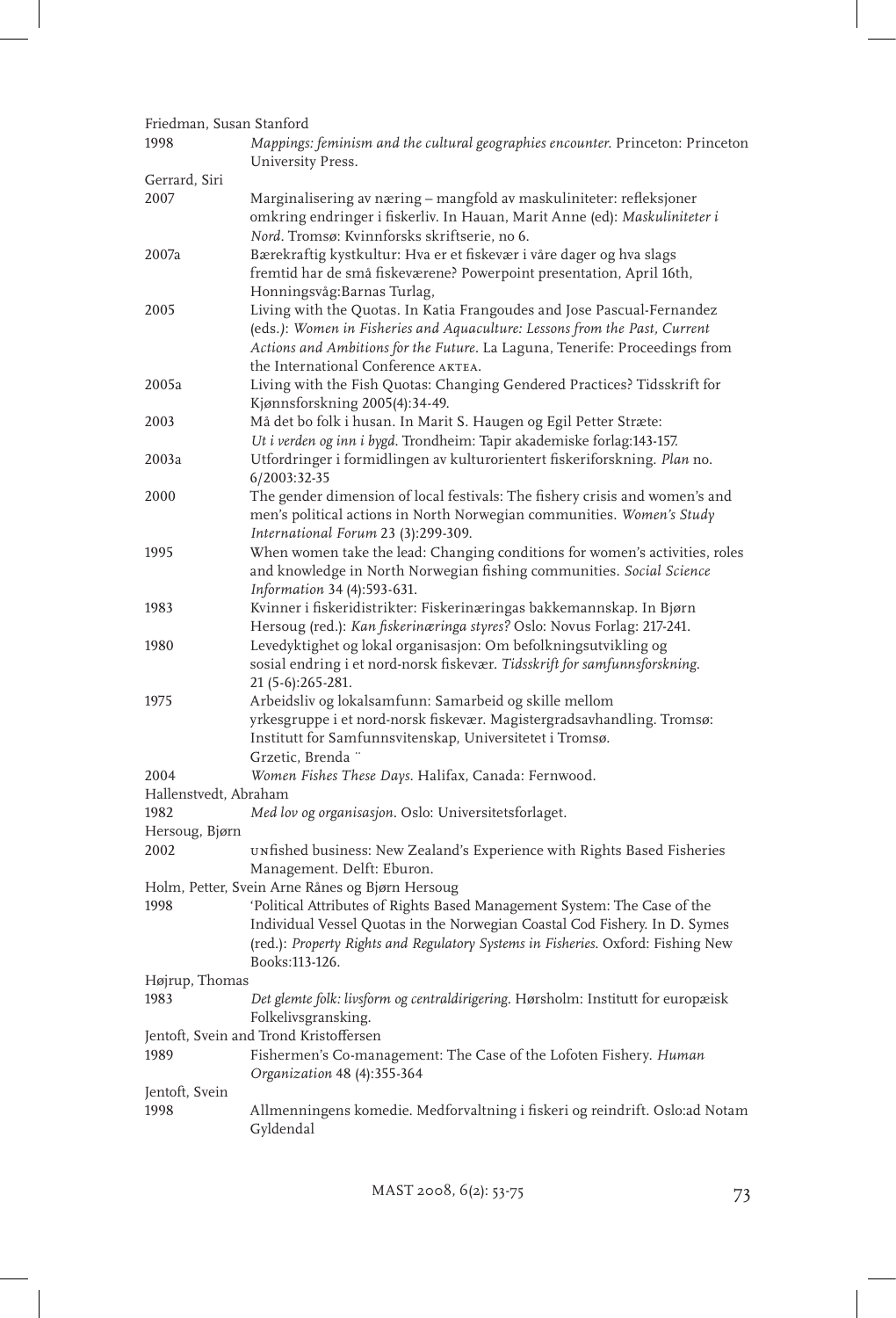| Friedman, Susan Stanford      |                                                                                                                                                                                                                                                                                                                 |
|-------------------------------|-----------------------------------------------------------------------------------------------------------------------------------------------------------------------------------------------------------------------------------------------------------------------------------------------------------------|
| 1998                          | Mappings: feminism and the cultural geographies encounter. Princeton: Princeton<br>University Press.                                                                                                                                                                                                            |
| Gerrard, Siri                 |                                                                                                                                                                                                                                                                                                                 |
| 2007                          | Marginalisering av næring - mangfold av maskuliniteter: refleksjoner<br>omkring endringer i fiskerliv. In Hauan, Marit Anne (ed): Maskuliniteter i<br>Nord. Tromsø: Kvinnforsks skriftserie, no 6.                                                                                                              |
| 2007a                         | Bærekraftig kystkultur: Hva er et fiskevær i våre dager og hva slags<br>fremtid har de små fiskeværene? Powerpoint presentation, April 16th,<br>Honningsvåg: Barnas Turlag,                                                                                                                                     |
| 2005                          | Living with the Quotas. In Katia Frangoudes and Jose Pascual-Fernandez<br>(eds.): Women in Fisheries and Aquaculture: Lessons from the Past, Current<br>Actions and Ambitions for the Future. La Laguna, Tenerife: Proceedings from<br>the International Conference AKTEA.                                      |
| 2005a                         | Living with the Fish Quotas: Changing Gendered Practices? Tidsskrift for<br>Kjønnsforskning 2005(4):34-49.                                                                                                                                                                                                      |
| 2003                          | Må det bo folk i husan. In Marit S. Haugen og Egil Petter Stræte:<br>Ut i verden og inn i bygd. Trondheim: Tapir akademiske forlag:143-157.                                                                                                                                                                     |
| 2003a                         | Utfordringer i formidlingen av kulturorientert fiskeriforskning. Plan no.<br>6/2003:32-35                                                                                                                                                                                                                       |
| 2000                          | The gender dimension of local festivals: The fishery crisis and women's and<br>men's political actions in North Norwegian communities. Women's Study<br>International Forum 23 (3):299-309.                                                                                                                     |
| 1995                          | When women take the lead: Changing conditions for women's activities, roles<br>and knowledge in North Norwegian fishing communities. Social Science<br>Information 34 (4):593-631.                                                                                                                              |
| 1983                          | Kvinner i fiskeridistrikter: Fiskerinæringas bakkemannskap. In Bjørn<br>Hersoug (red.): Kan fiskerinæringa styres? Oslo: Novus Forlag: 217-241.                                                                                                                                                                 |
| 1980                          | Levedyktighet og lokal organisasjon: Om befolkningsutvikling og<br>sosial endring i et nord-norsk fiskevær. Tidsskrift for samfunnsforskning.<br>21 (5-6):265-281.                                                                                                                                              |
| 1975                          | Arbeidsliv og lokalsamfunn: Samarbeid og skille mellom<br>yrkesgruppe i et nord-norsk fiskevær. Magistergradsavhandling. Tromsø:<br>Institutt for Samfunnsvitenskap, Universitetet i Tromsø.<br>Grzetic, Brenda "                                                                                               |
| 2004<br>Hallenstvedt, Abraham | Women Fishes These Days. Halifax, Canada: Fernwood.                                                                                                                                                                                                                                                             |
| 1982                          | Med lov og organisasjon. Oslo: Universitetsforlaget.                                                                                                                                                                                                                                                            |
| Hersoug, Bjørn                |                                                                                                                                                                                                                                                                                                                 |
| 2002                          | UNfished business: New Zealand's Experience with Rights Based Fisheries<br>Management. Delft: Eburon.                                                                                                                                                                                                           |
| 1998                          | Holm, Petter, Svein Arne Rånes og Bjørn Hersoug<br>'Political Attributes of Rights Based Management System: The Case of the<br>Individual Vessel Quotas in the Norwegian Coastal Cod Fishery. In D. Symes<br>(red.): Property Rights and Regulatory Systems in Fisheries. Oxford: Fishing New<br>Books:113-126. |
| Højrup, Thomas                |                                                                                                                                                                                                                                                                                                                 |
| 1983                          | Det glemte folk: livsform og centraldirigering. Hørsholm: Institutt for europæisk<br>Folkelivsgransking.                                                                                                                                                                                                        |
|                               | Jentoft, Svein and Trond Kristoffersen                                                                                                                                                                                                                                                                          |
| 1989                          | Fishermen's Co-management: The Case of the Lofoten Fishery. Human<br>Organization 48 (4):355-364                                                                                                                                                                                                                |
| Jentoft, Svein                |                                                                                                                                                                                                                                                                                                                 |
| 1998                          | Allmenningens komedie. Medforvaltning i fiskeri og reindrift. Oslo:ad Notam<br>Gyldendal                                                                                                                                                                                                                        |

MAST 2008, 6(2): 53-75 73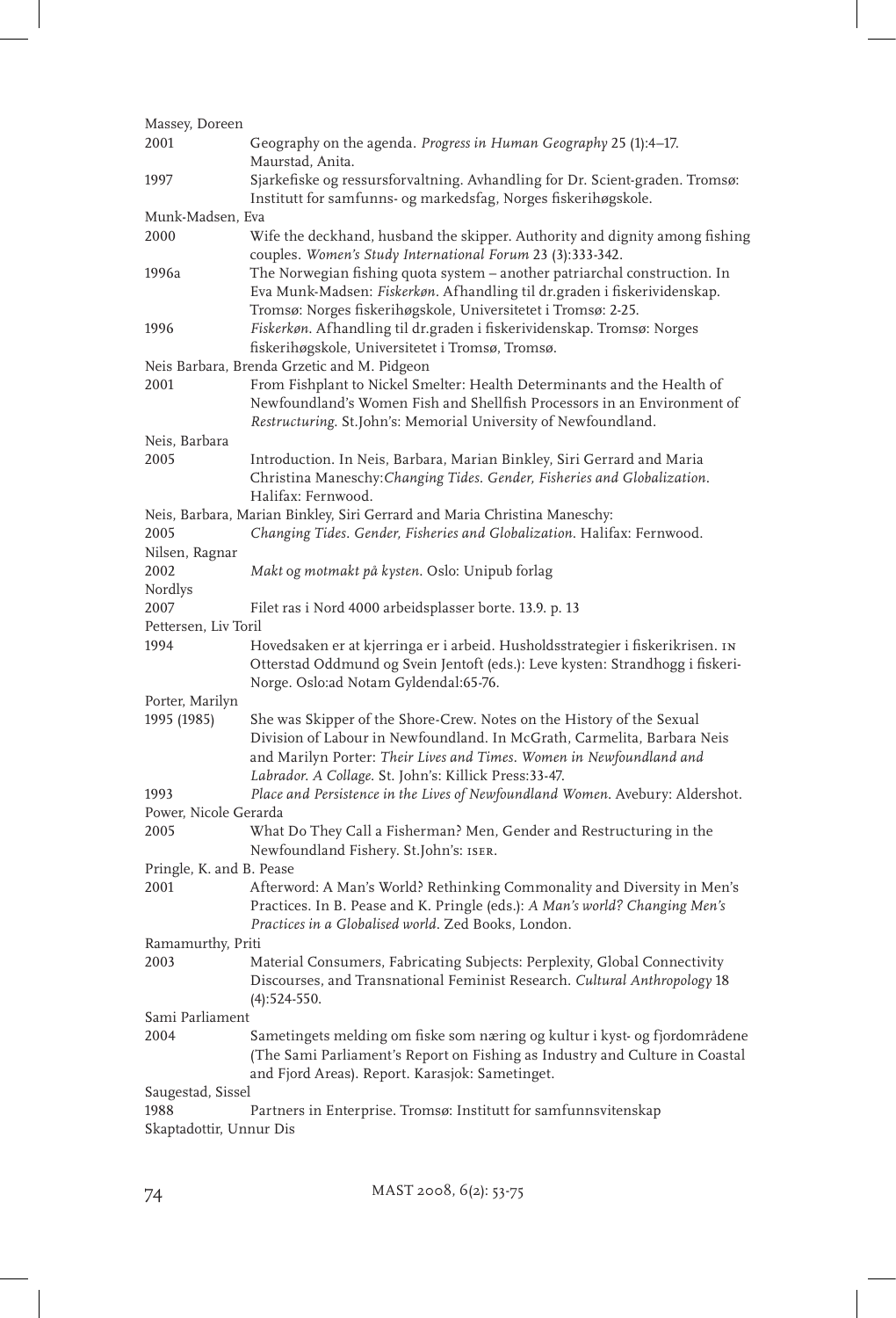| Massey, Doreen                   |                                                                                                                                         |  |
|----------------------------------|-----------------------------------------------------------------------------------------------------------------------------------------|--|
| 2001                             | Geography on the agenda. Progress in Human Geography 25 (1):4–17.                                                                       |  |
|                                  | Maurstad, Anita.                                                                                                                        |  |
| 1997                             | Sjarkefiske og ressursforvaltning. Avhandling for Dr. Scient-graden. Tromsø:                                                            |  |
|                                  | Institutt for samfunns- og markedsfag, Norges fiskerihøgskole.                                                                          |  |
| Munk-Madsen, Eva                 |                                                                                                                                         |  |
| 2000                             | Wife the deckhand, husband the skipper. Authority and dignity among fishing                                                             |  |
|                                  | couples. Women's Study International Forum 23 (3):333-342.                                                                              |  |
| 1996a                            | The Norwegian fishing quota system - another patriarchal construction. In                                                               |  |
|                                  | Eva Munk-Madsen: Fiskerkøn. Afhandling til dr.graden i fiskerividenskap.                                                                |  |
| 1996                             | Tromsø: Norges fiskerihøgskole, Universitetet i Tromsø: 2-25.<br>Fiskerkøn. Afhandling til dr.graden i fiskerividenskap. Tromsø: Norges |  |
|                                  | fiskerihøgskole, Universitetet i Tromsø, Tromsø.                                                                                        |  |
|                                  | Neis Barbara, Brenda Grzetic and M. Pidgeon                                                                                             |  |
| 2001                             | From Fishplant to Nickel Smelter: Health Determinants and the Health of                                                                 |  |
|                                  | Newfoundland's Women Fish and Shellfish Processors in an Environment of                                                                 |  |
|                                  | Restructuring. St.John's: Memorial University of Newfoundland.                                                                          |  |
| Neis, Barbara                    |                                                                                                                                         |  |
| 2005                             | Introduction. In Neis, Barbara, Marian Binkley, Siri Gerrard and Maria                                                                  |  |
|                                  | Christina Maneschy: Changing Tides. Gender, Fisheries and Globalization.                                                                |  |
|                                  | Halifax: Fernwood.                                                                                                                      |  |
|                                  | Neis, Barbara, Marian Binkley, Siri Gerrard and Maria Christina Maneschy:                                                               |  |
| 2005                             | Changing Tides. Gender, Fisheries and Globalization. Halifax: Fernwood.                                                                 |  |
| Nilsen, Ragnar                   |                                                                                                                                         |  |
| 2002                             | Makt og motmakt på kysten. Oslo: Unipub forlag                                                                                          |  |
| Nordlys                          |                                                                                                                                         |  |
| 2007<br>Pettersen, Liv Toril     | Filet ras i Nord 4000 arbeidsplasser borte. 13.9. p. 13                                                                                 |  |
| 1994                             | Hovedsaken er at kjerringa er i arbeid. Husholdsstrategier i fiskerikrisen. IN                                                          |  |
|                                  | Otterstad Oddmund og Svein Jentoft (eds.): Leve kysten: Strandhogg i fiskeri-                                                           |  |
|                                  | Norge. Oslo:ad Notam Gyldendal:65-76.                                                                                                   |  |
| Porter, Marilyn                  |                                                                                                                                         |  |
| 1995 (1985)                      | She was Skipper of the Shore-Crew. Notes on the History of the Sexual                                                                   |  |
|                                  | Division of Labour in Newfoundland. In McGrath, Carmelita, Barbara Neis                                                                 |  |
|                                  | and Marilyn Porter: Their Lives and Times. Women in Newfoundland and                                                                    |  |
|                                  | Labrador. A Collage. St. John's: Killick Press:33-47.                                                                                   |  |
| 1993                             | Place and Persistence in the Lives of Newfoundland Women. Avebury: Aldershot.                                                           |  |
| Power, Nicole Gerarda            |                                                                                                                                         |  |
| 2005                             | What Do They Call a Fisherman? Men, Gender and Restructuring in the                                                                     |  |
|                                  | Newfoundland Fishery. St.John's: ISER.                                                                                                  |  |
| Pringle, K. and B. Pease<br>2001 | Afterword: A Man's World? Rethinking Commonality and Diversity in Men's                                                                 |  |
|                                  | Practices. In B. Pease and K. Pringle (eds.): A Man's world? Changing Men's                                                             |  |
|                                  | Practices in a Globalised world. Zed Books, London.                                                                                     |  |
| Ramamurthy, Priti                |                                                                                                                                         |  |
| 2003                             | Material Consumers, Fabricating Subjects: Perplexity, Global Connectivity                                                               |  |
|                                  | Discourses, and Transnational Feminist Research. Cultural Anthropology 18                                                               |  |
|                                  | $(4):524-550.$                                                                                                                          |  |
| Sami Parliament                  |                                                                                                                                         |  |
| 2004                             | Sametingets melding om fiske som næring og kultur i kyst- og fjordområdene                                                              |  |
|                                  | (The Sami Parliament's Report on Fishing as Industry and Culture in Coastal                                                             |  |
|                                  | and Fjord Areas). Report. Karasjok: Sametinget.                                                                                         |  |
| Saugestad, Sissel                |                                                                                                                                         |  |
| 1988                             | Partners in Enterprise. Tromsø: Institutt for samfunnsvitenskap                                                                         |  |
| Skaptadottir, Unnur Dis          |                                                                                                                                         |  |